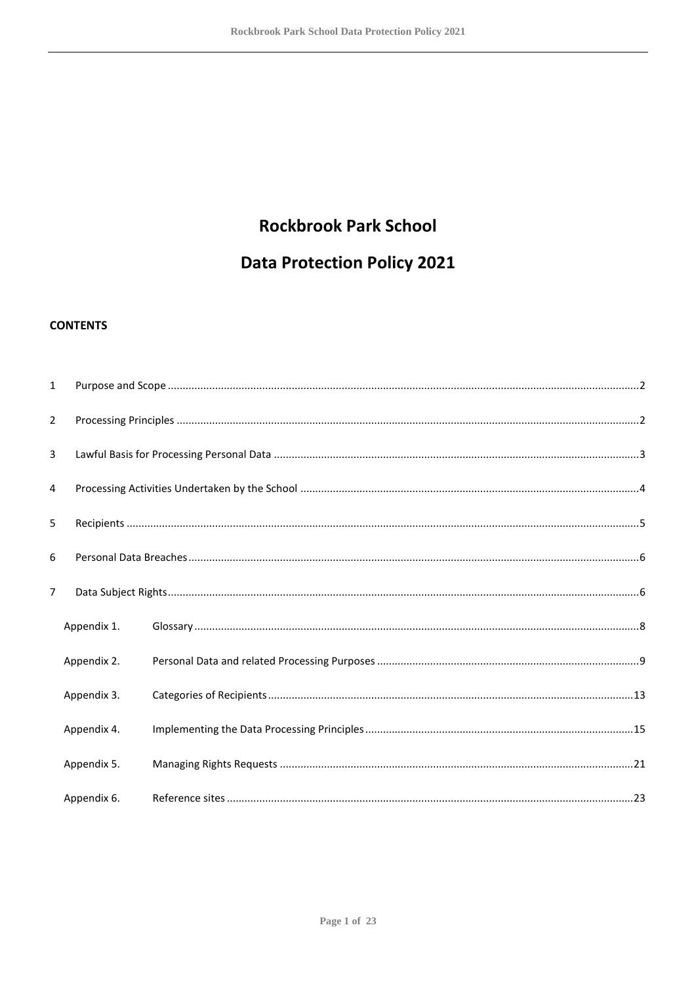# **Rockbrook Park School**

# **Data Protection Policy 2021**

#### **CONTENTS**

| $\mathbf{1}$   |             |  |
|----------------|-------------|--|
| $\overline{2}$ |             |  |
| 3              |             |  |
| 4              |             |  |
| 5              |             |  |
| 6              |             |  |
| $\overline{7}$ |             |  |
|                | Appendix 1. |  |
|                | Appendix 2. |  |
|                | Appendix 3. |  |
|                | Appendix 4. |  |
|                | Appendix 5. |  |
|                | Appendix 6. |  |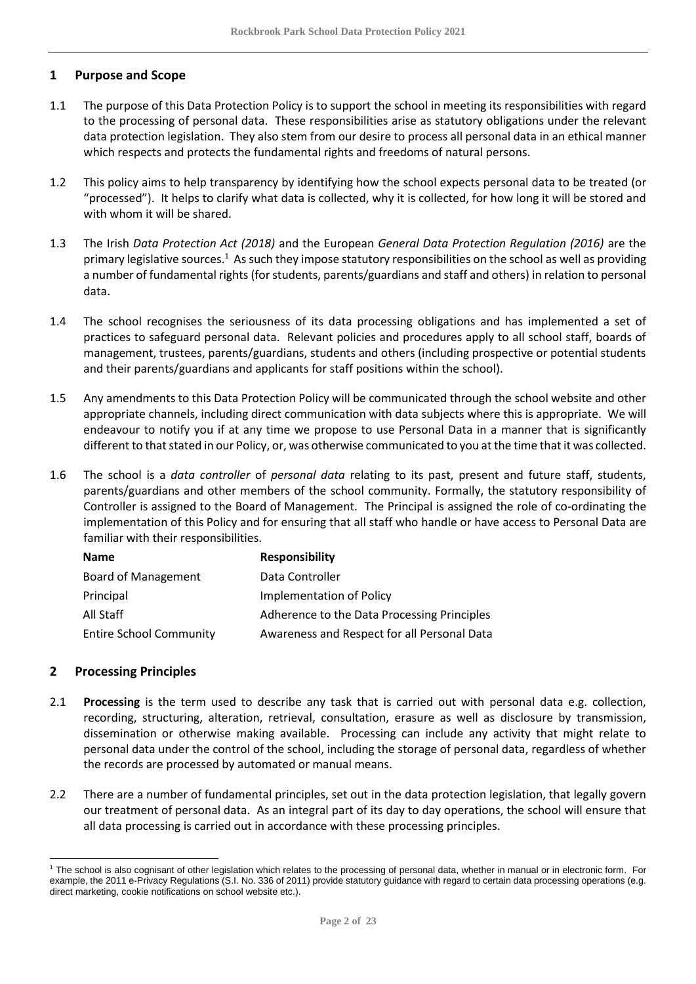### <span id="page-1-0"></span>**1 Purpose and Scope**

- 1.1 The purpose of this Data Protection Policy is to support the school in meeting its responsibilities with regard to the processing of personal data. These responsibilities arise as statutory obligations under the relevant data protection legislation. They also stem from our desire to process all personal data in an ethical manner which respects and protects the fundamental rights and freedoms of natural persons.
- 1.2 This policy aims to help transparency by identifying how the school expects personal data to be treated (or "processed"). It helps to clarify what data is collected, why it is collected, for how long it will be stored and with whom it will be shared.
- 1.3 The Irish *Data Protection Act (2018)* and the European *General Data Protection Regulation (2016)* are the primary legislative sources.<sup>1</sup> As such they impose statutory responsibilities on the school as well as providing a number of fundamental rights (for students, parents/guardians and staff and others) in relation to personal data.
- 1.4 The school recognises the seriousness of its data processing obligations and has implemented a set of practices to safeguard personal data. Relevant policies and procedures apply to all school staff, boards of management, trustees, parents/guardians, students and others (including prospective or potential students and their parents/guardians and applicants for staff positions within the school).
- 1.5 Any amendments to this Data Protection Policy will be communicated through the school website and other appropriate channels, including direct communication with data subjects where this is appropriate. We will endeavour to notify you if at any time we propose to use Personal Data in a manner that is significantly different to that stated in our Policy, or, was otherwise communicated to you at the time that it was collected.
- 1.6 The school is a *data controller* of *personal data* relating to its past, present and future staff, students, parents/guardians and other members of the school community. Formally, the statutory responsibility of Controller is assigned to the Board of Management. The Principal is assigned the role of co-ordinating the implementation of this Policy and for ensuring that all staff who handle or have access to Personal Data are familiar with their responsibilities.

| <b>Name</b>                    | <b>Responsibility</b>                       |
|--------------------------------|---------------------------------------------|
| Board of Management            | Data Controller                             |
| Principal                      | <b>Implementation of Policy</b>             |
| All Staff                      | Adherence to the Data Processing Principles |
| <b>Entire School Community</b> | Awareness and Respect for all Personal Data |

#### <span id="page-1-1"></span>**2 Processing Principles**

- 2.1 **Processing** is the term used to describe any task that is carried out with personal data e.g. collection, recording, structuring, alteration, retrieval, consultation, erasure as well as disclosure by transmission, dissemination or otherwise making available. Processing can include any activity that might relate to personal data under the control of the school, including the storage of personal data, regardless of whether the records are processed by automated or manual means.
- 2.2 There are a number of fundamental principles, set out in the data protection legislation, that legally govern our treatment of personal data. As an integral part of its day to day operations, the school will ensure that all data processing is carried out in accordance with these processing principles.

<sup>1</sup> The school is also cognisant of other legislation which relates to the processing of personal data, whether in manual or in electronic form. For example, the 2011 e-Privacy Regulations (S.I. No. 336 of 2011) provide statutory guidance with regard to certain data processing operations (e.g. direct marketing, cookie notifications on school website etc.).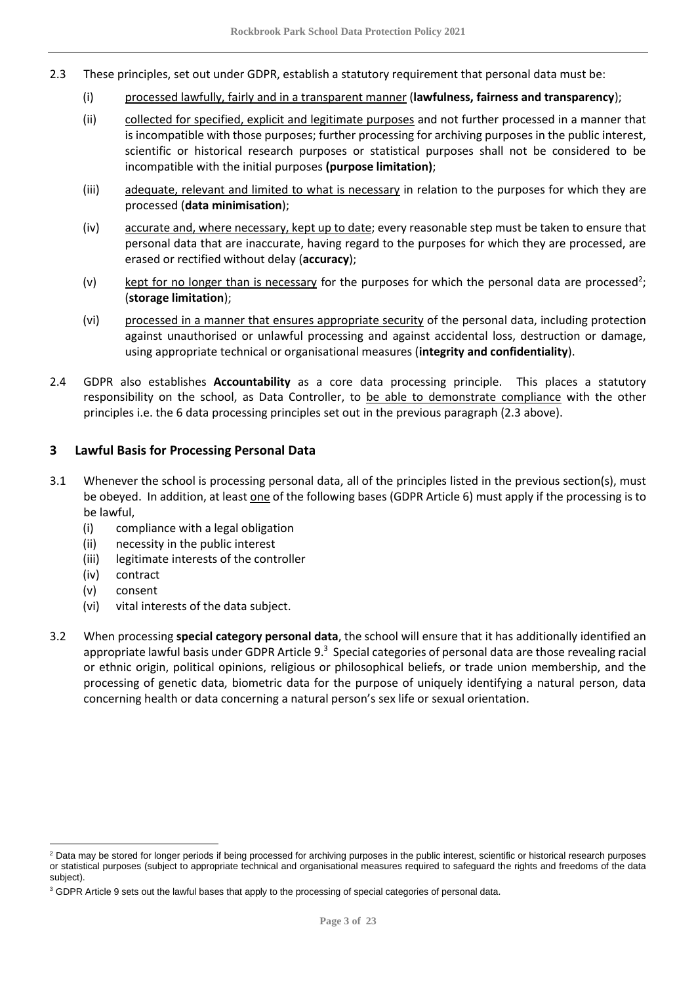- 2.3 These principles, set out under GDPR, establish a statutory requirement that personal data must be:
	- (i) processed lawfully, fairly and in a transparent manner (**lawfulness, fairness and transparency**);
	- (ii) collected for specified, explicit and legitimate purposes and not further processed in a manner that is incompatible with those purposes; further processing for archiving purposes in the public interest, scientific or historical research purposes or statistical purposes shall not be considered to be incompatible with the initial purposes **(purpose limitation)**;
	- (iii) adequate, relevant and limited to what is necessary in relation to the purposes for which they are processed (**data minimisation**);
	- (iv) accurate and, where necessary, kept up to date; every reasonable step must be taken to ensure that personal data that are inaccurate, having regard to the purposes for which they are processed, are erased or rectified without delay (**accuracy**);
	- (v) kept for no longer than is necessary for the purposes for which the personal data are processed<sup>2</sup>; (**storage limitation**);
	- (vi) processed in a manner that ensures appropriate security of the personal data, including protection against unauthorised or unlawful processing and against accidental loss, destruction or damage, using appropriate technical or organisational measures (**integrity and confidentiality**).
- 2.4 GDPR also establishes **Accountability** as a core data processing principle. This places a statutory responsibility on the school, as Data Controller, to be able to demonstrate compliance with the other principles i.e. the 6 data processing principles set out in the previous paragraph (2.3 above).

# <span id="page-2-0"></span>**3 Lawful Basis for Processing Personal Data**

- 3.1 Whenever the school is processing personal data, all of the principles listed in the previous section(s), must be obeyed. In addition, at least one of the following bases (GDPR Article 6) must apply if the processing is to be lawful,
	- (i) compliance with a legal obligation
	- (ii) necessity in the public interest
	- (iii) legitimate interests of the controller
	- (iv) contract
	- (v) consent
	- (vi) vital interests of the data subject.
- 3.2 When processing **special category personal data**, the school will ensure that it has additionally identified an appropriate lawful basis under GDPR Article 9.<sup>3</sup> Special categories of personal data are those revealing racial or ethnic origin, political opinions, religious or philosophical beliefs, or trade union membership, and the processing of genetic data, biometric data for the purpose of uniquely identifying a natural person, data concerning health or data concerning a natural person's sex life or sexual orientation.

<sup>&</sup>lt;sup>2</sup> Data may be stored for longer periods if being processed for archiving purposes in the public interest, scientific or historical research purposes or statistical purposes (subject to appropriate technical and organisational measures required to safeguard the rights and freedoms of the data subject).

<sup>&</sup>lt;sup>3</sup> GDPR Article 9 sets out the lawful bases that apply to the processing of special categories of personal data.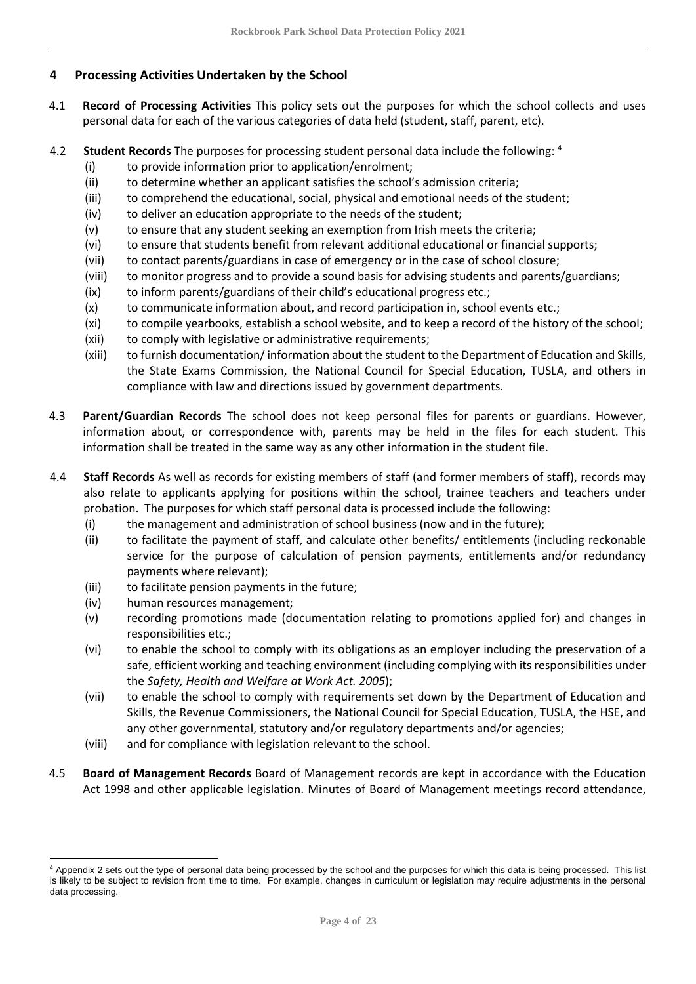# <span id="page-3-0"></span>**4 Processing Activities Undertaken by the School**

- 4.1 **Record of Processing Activities** This policy sets out the purposes for which the school collects and uses personal data for each of the various categories of data held (student, staff, parent, etc).
- 4.2 **Student Records** The purposes for processing student personal data include the following: <sup>4</sup>
	- (i) to provide information prior to application/enrolment;
	- (ii) to determine whether an applicant satisfies the school's admission criteria;
	- (iii) to comprehend the educational, social, physical and emotional needs of the student;
	- (iv) to deliver an education appropriate to the needs of the student;
	- $(v)$  to ensure that any student seeking an exemption from Irish meets the criteria;
	- (vi) to ensure that students benefit from relevant additional educational or financial supports;
	- (vii) to contact parents/guardians in case of emergency or in the case of school closure;
	- (viii) to monitor progress and to provide a sound basis for advising students and parents/guardians;
	- (ix) to inform parents/guardians of their child's educational progress etc.;
	- (x) to communicate information about, and record participation in, school events etc.;
	- (xi) to compile yearbooks, establish a school website, and to keep a record of the history of the school;
	- (xii) to comply with legislative or administrative requirements;
	- (xiii) to furnish documentation/ information about the student to the Department of Education and Skills, the State Exams Commission, the National Council for Special Education, TUSLA, and others in compliance with law and directions issued by government departments.
- 4.3 **Parent/Guardian Records** The school does not keep personal files for parents or guardians. However, information about, or correspondence with, parents may be held in the files for each student. This information shall be treated in the same way as any other information in the student file.
- 4.4 **Staff Records** As well as records for existing members of staff (and former members of staff), records may also relate to applicants applying for positions within the school, trainee teachers and teachers under probation. The purposes for which staff personal data is processed include the following:
	- (i) the management and administration of school business (now and in the future);
	- (ii) to facilitate the payment of staff, and calculate other benefits/ entitlements (including reckonable service for the purpose of calculation of pension payments, entitlements and/or redundancy payments where relevant);
	- (iii) to facilitate pension payments in the future;
	- (iv) human resources management;
	- (v) recording promotions made (documentation relating to promotions applied for) and changes in responsibilities etc.;
	- (vi) to enable the school to comply with its obligations as an employer including the preservation of a safe, efficient working and teaching environment (including complying with its responsibilities under the *Safety, Health and Welfare at Work Act. 2005*);
	- (vii) to enable the school to comply with requirements set down by the Department of Education and Skills, the Revenue Commissioners, the National Council for Special Education, TUSLA, the HSE, and any other governmental, statutory and/or regulatory departments and/or agencies;
	- (viii) and for compliance with legislation relevant to the school.
- 4.5 **Board of Management Records** Board of Management records are kept in accordance with the Education Act 1998 and other applicable legislation. Minutes of Board of Management meetings record attendance,

<sup>4</sup> Appendix 2 sets out the type of personal data being processed by the school and the purposes for which this data is being processed. This list is likely to be subject to revision from time to time. For example, changes in curriculum or legislation may require adjustments in the personal data processing.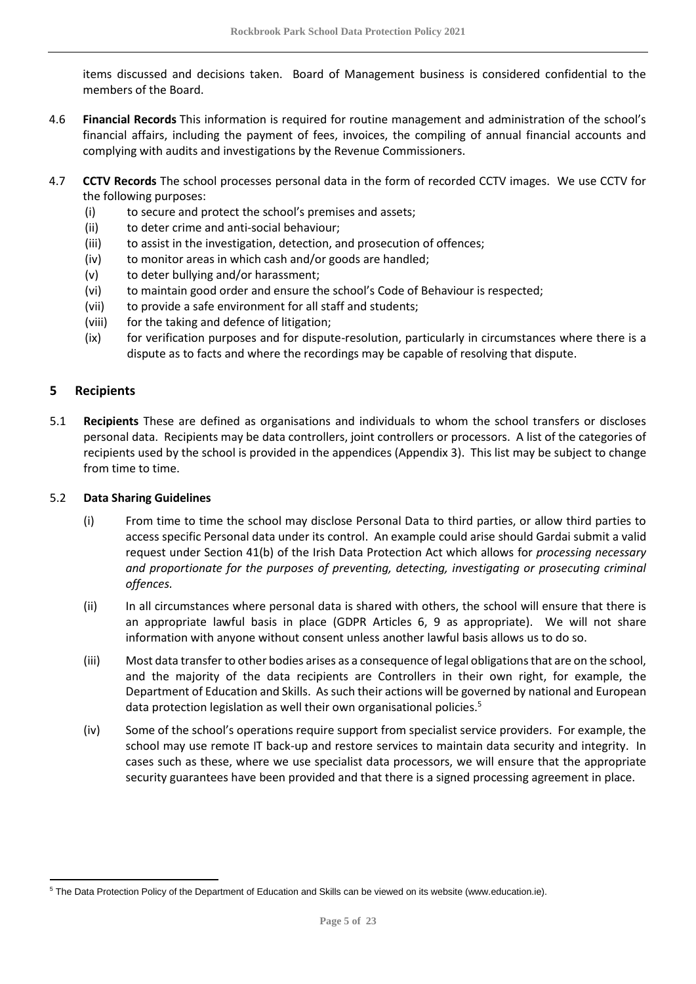items discussed and decisions taken. Board of Management business is considered confidential to the members of the Board.

- 4.6 **Financial Records** This information is required for routine management and administration of the school's financial affairs, including the payment of fees, invoices, the compiling of annual financial accounts and complying with audits and investigations by the Revenue Commissioners.
- 4.7 **CCTV Records** The school processes personal data in the form of recorded CCTV images. We use CCTV for the following purposes:
	- (i) to secure and protect the school's premises and assets;
	- (ii) to deter crime and anti-social behaviour;
	- (iii) to assist in the investigation, detection, and prosecution of offences;
	- (iv) to monitor areas in which cash and/or goods are handled;
	- (v) to deter bullying and/or harassment;
	- (vi) to maintain good order and ensure the school's Code of Behaviour is respected;
	- (vii) to provide a safe environment for all staff and students;
	- (viii) for the taking and defence of litigation;
	- (ix) for verification purposes and for dispute-resolution, particularly in circumstances where there is a dispute as to facts and where the recordings may be capable of resolving that dispute.

# <span id="page-4-0"></span>**5 Recipients**

5.1 **Recipients** These are defined as organisations and individuals to whom the school transfers or discloses personal data. Recipients may be data controllers, joint controllers or processors. A list of the categories of recipients used by the school is provided in the appendices (Appendix 3). This list may be subject to change from time to time.

#### 5.2 **Data Sharing Guidelines**

- (i) From time to time the school may disclose Personal Data to third parties, or allow third parties to access specific Personal data under its control. An example could arise should Gardai submit a valid request under Section 41(b) of the Irish Data Protection Act which allows for *processing necessary and proportionate for the purposes of preventing, detecting, investigating or prosecuting criminal offences.*
- (ii) In all circumstances where personal data is shared with others, the school will ensure that there is an appropriate lawful basis in place (GDPR Articles 6, 9 as appropriate). We will not share information with anyone without consent unless another lawful basis allows us to do so.
- (iii) Most data transfer to other bodies arises as a consequence of legal obligationsthat are on the school, and the majority of the data recipients are Controllers in their own right, for example, the Department of Education and Skills. As such their actions will be governed by national and European data protection legislation as well their own organisational policies.<sup>5</sup>
- (iv) Some of the school's operations require support from specialist service providers. For example, the school may use remote IT back-up and restore services to maintain data security and integrity. In cases such as these, where we use specialist data processors, we will ensure that the appropriate security guarantees have been provided and that there is a signed processing agreement in place.

<sup>5</sup> The Data Protection Policy of the Department of Education and Skills can be viewed on its website (www.education.ie).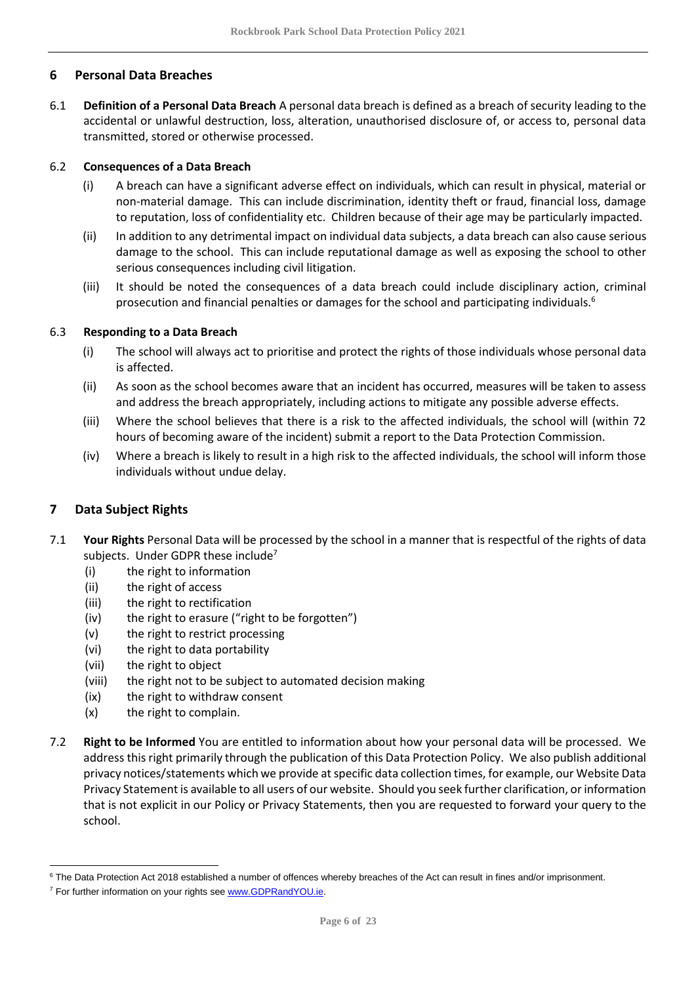# <span id="page-5-0"></span>**6 Personal Data Breaches**

6.1 **Definition of a Personal Data Breach** A personal data breach is defined as a breach of security leading to the accidental or unlawful destruction, loss, alteration, unauthorised disclosure of, or access to, personal data transmitted, stored or otherwise processed.

#### 6.2 **Consequences of a Data Breach**

- (i) A breach can have a significant adverse effect on individuals, which can result in physical, material or non-material damage. This can include discrimination, identity theft or fraud, financial loss, damage to reputation, loss of confidentiality etc. Children because of their age may be particularly impacted.
- (ii) In addition to any detrimental impact on individual data subjects, a data breach can also cause serious damage to the school. This can include reputational damage as well as exposing the school to other serious consequences including civil litigation.
- (iii) It should be noted the consequences of a data breach could include disciplinary action, criminal prosecution and financial penalties or damages for the school and participating individuals.<sup>6</sup>

#### 6.3 **Responding to a Data Breach**

- (i) The school will always act to prioritise and protect the rights of those individuals whose personal data is affected.
- (ii) As soon as the school becomes aware that an incident has occurred, measures will be taken to assess and address the breach appropriately, including actions to mitigate any possible adverse effects.
- (iii) Where the school believes that there is a risk to the affected individuals, the school will (within 72 hours of becoming aware of the incident) submit a report to the Data Protection Commission.
- (iv) Where a breach is likely to result in a high risk to the affected individuals, the school will inform those individuals without undue delay.

#### <span id="page-5-1"></span>**7 Data Subject Rights**

- 7.1 **Your Rights** Personal Data will be processed by the school in a manner that is respectful of the rights of data subjects. Under GDPR these include<sup>7</sup>
	- (i) the right to information
	- (ii) the right of access
	- (iii) the right to rectification
	- (iv) the right to erasure ("right to be forgotten")
	- (v) the right to restrict processing
	- (vi) the right to data portability
	- (vii) the right to object
	- (viii) the right not to be subject to automated decision making
	- (ix) the right to withdraw consent
	- (x) the right to complain.
- 7.2 **Right to be Informed** You are entitled to information about how your personal data will be processed. We address this right primarily through the publication of this Data Protection Policy. We also publish additional privacy notices/statements which we provide at specific data collection times, for example, our Website Data Privacy Statement is available to all users of our website. Should you seek further clarification, or information that is not explicit in our Policy or Privacy Statements, then you are requested to forward your query to the school.

<sup>6</sup> The Data Protection Act 2018 established a number of offences whereby breaches of the Act can result in fines and/or imprisonment.

<sup>7</sup> For further information on your rights see [www.GDPRandYOU.ie.](http://www.gdprandyou.ie/)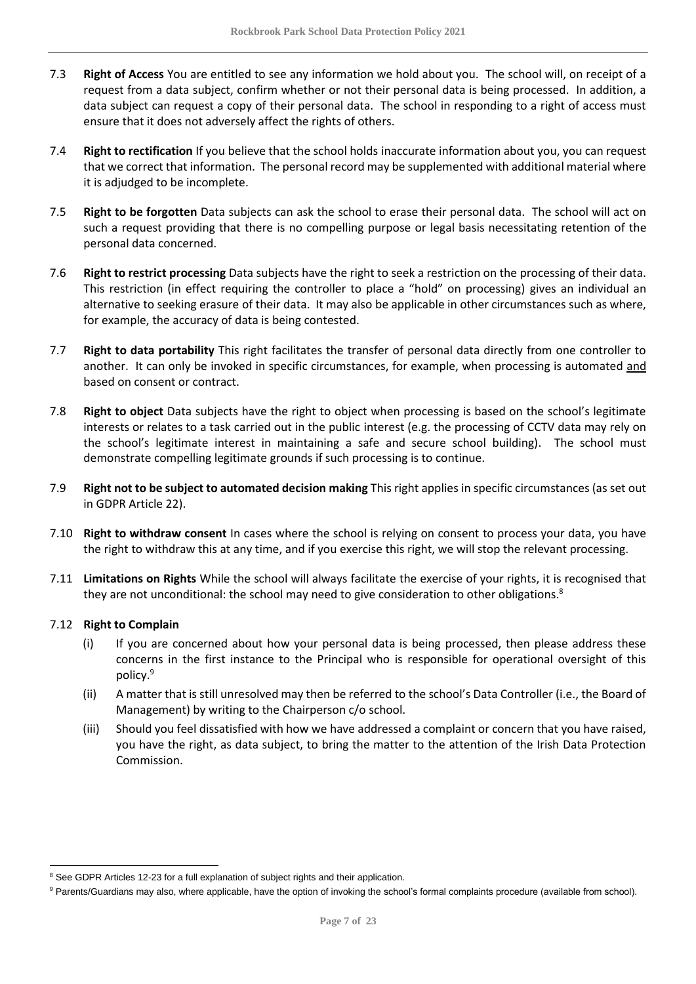- 7.3 **Right of Access** You are entitled to see any information we hold about you. The school will, on receipt of a request from a data subject, confirm whether or not their personal data is being processed. In addition, a data subject can request a copy of their personal data. The school in responding to a right of access must ensure that it does not adversely affect the rights of others.
- 7.4 **Right to rectification** If you believe that the school holds inaccurate information about you, you can request that we correct that information. The personal record may be supplemented with additional material where it is adjudged to be incomplete.
- 7.5 **Right to be forgotten** Data subjects can ask the school to erase their personal data. The school will act on such a request providing that there is no compelling purpose or legal basis necessitating retention of the personal data concerned.
- 7.6 **Right to restrict processing** Data subjects have the right to seek a restriction on the processing of their data. This restriction (in effect requiring the controller to place a "hold" on processing) gives an individual an alternative to seeking erasure of their data. It may also be applicable in other circumstances such as where, for example, the accuracy of data is being contested.
- 7.7 **Right to data portability** This right facilitates the transfer of personal data directly from one controller to another. It can only be invoked in specific circumstances, for example, when processing is automated and based on consent or contract.
- 7.8 **Right to object** Data subjects have the right to object when processing is based on the school's legitimate interests or relates to a task carried out in the public interest (e.g. the processing of CCTV data may rely on the school's legitimate interest in maintaining a safe and secure school building). The school must demonstrate compelling legitimate grounds if such processing is to continue.
- 7.9 **Right not to be subject to automated decision making** This right applies in specific circumstances (as set out in GDPR Article 22).
- 7.10 **Right to withdraw consent** In cases where the school is relying on consent to process your data, you have the right to withdraw this at any time, and if you exercise this right, we will stop the relevant processing.
- 7.11 **Limitations on Rights** While the school will always facilitate the exercise of your rights, it is recognised that they are not unconditional: the school may need to give consideration to other obligations. $8$

#### 7.12 **Right to Complain**

- (i) If you are concerned about how your personal data is being processed, then please address these concerns in the first instance to the Principal who is responsible for operational oversight of this policy.<sup>9</sup>
- (ii) A matter that is still unresolved may then be referred to the school's Data Controller (i.e., the Board of Management) by writing to the Chairperson c/o school.
- (iii) Should you feel dissatisfied with how we have addressed a complaint or concern that you have raised, you have the right, as data subject, to bring the matter to the attention of the Irish Data Protection Commission.

<sup>&</sup>lt;sup>8</sup> See GDPR Articles 12-23 for a full explanation of subject rights and their application.

<sup>9</sup> Parents/Guardians may also, where applicable, have the option of invoking the school's formal complaints procedure (available from school).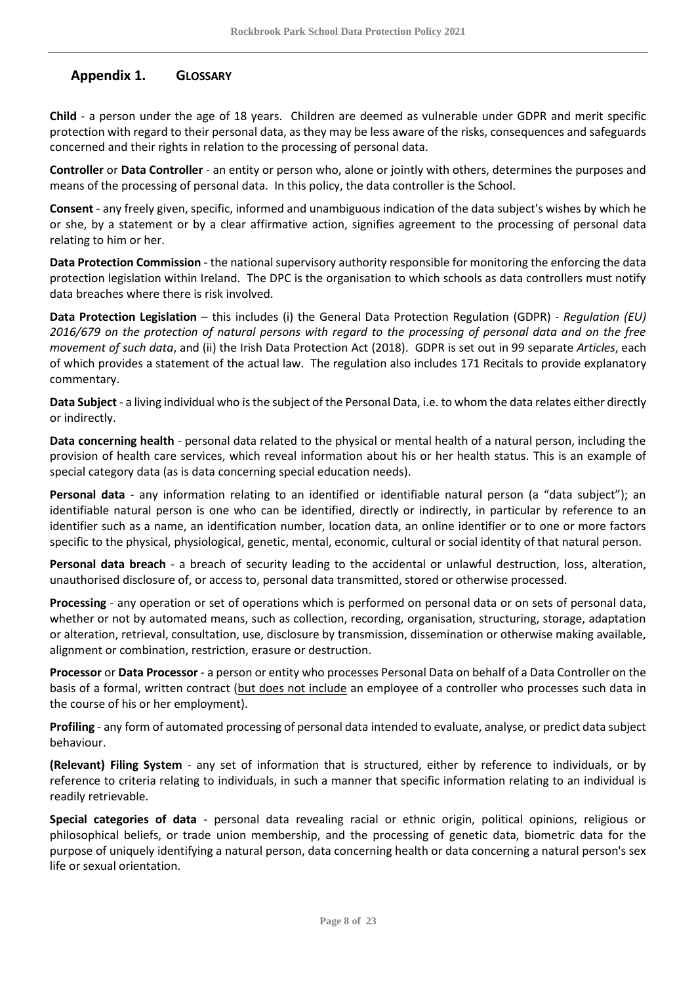# <span id="page-7-0"></span>**Appendix 1. GLOSSARY**

**Child** - a person under the age of 18 years. Children are deemed as vulnerable under GDPR and merit specific protection with regard to their personal data, as they may be less aware of the risks, consequences and safeguards concerned and their rights in relation to the processing of personal data.

**Controller** or **Data Controller** - an entity or person who, alone or jointly with others, determines the purposes and means of the processing of personal data. In this policy, the data controller is the School.

**Consent** - any freely given, specific, informed and unambiguous indication of the data subject's wishes by which he or she, by a statement or by a clear affirmative action, signifies agreement to the processing of personal data relating to him or her.

**Data Protection Commission** - the national supervisory authority responsible for monitoring the enforcing the data protection legislation within Ireland. The DPC is the organisation to which schools as data controllers must notify data breaches where there is risk involved.

**Data Protection Legislation** – this includes (i) the General Data Protection Regulation (GDPR) - *Regulation (EU) 2016/679 on the protection of natural persons with regard to the processing of personal data and on the free movement of such data*, and (ii) the Irish Data Protection Act (2018). GDPR is set out in 99 separate *Articles*, each of which provides a statement of the actual law. The regulation also includes 171 Recitals to provide explanatory commentary.

**Data Subject** - a living individual who is the subject of the Personal Data, i.e. to whom the data relates either directly or indirectly.

**Data concerning health** - personal data related to the physical or mental health of a natural person, including the provision of health care services, which reveal information about his or her health status. This is an example of special category data (as is data concerning special education needs).

**Personal data** - any information relating to an identified or identifiable natural person (a "data subject"); an identifiable natural person is one who can be identified, directly or indirectly, in particular by reference to an identifier such as a name, an identification number, location data, an online identifier or to one or more factors specific to the physical, physiological, genetic, mental, economic, cultural or social identity of that natural person.

**Personal data breach** - a breach of security leading to the accidental or unlawful destruction, loss, alteration, unauthorised disclosure of, or access to, personal data transmitted, stored or otherwise processed.

**Processing** - any operation or set of operations which is performed on personal data or on sets of personal data, whether or not by automated means, such as collection, recording, organisation, structuring, storage, adaptation or alteration, retrieval, consultation, use, disclosure by transmission, dissemination or otherwise making available, alignment or combination, restriction, erasure or destruction.

**Processor** or **Data Processor** - a person or entity who processes Personal Data on behalf of a Data Controller on the basis of a formal, written contract (but does not include an employee of a controller who processes such data in the course of his or her employment).

**Profiling** - any form of automated processing of personal data intended to evaluate, analyse, or predict data subject behaviour.

**(Relevant) Filing System** - any set of information that is structured, either by reference to individuals, or by reference to criteria relating to individuals, in such a manner that specific information relating to an individual is readily retrievable.

**Special categories of data** - personal data revealing racial or ethnic origin, political opinions, religious or philosophical beliefs, or trade union membership, and the processing of genetic data, biometric data for the purpose of uniquely identifying a natural person, data concerning health or data concerning a natural person's sex life or sexual orientation.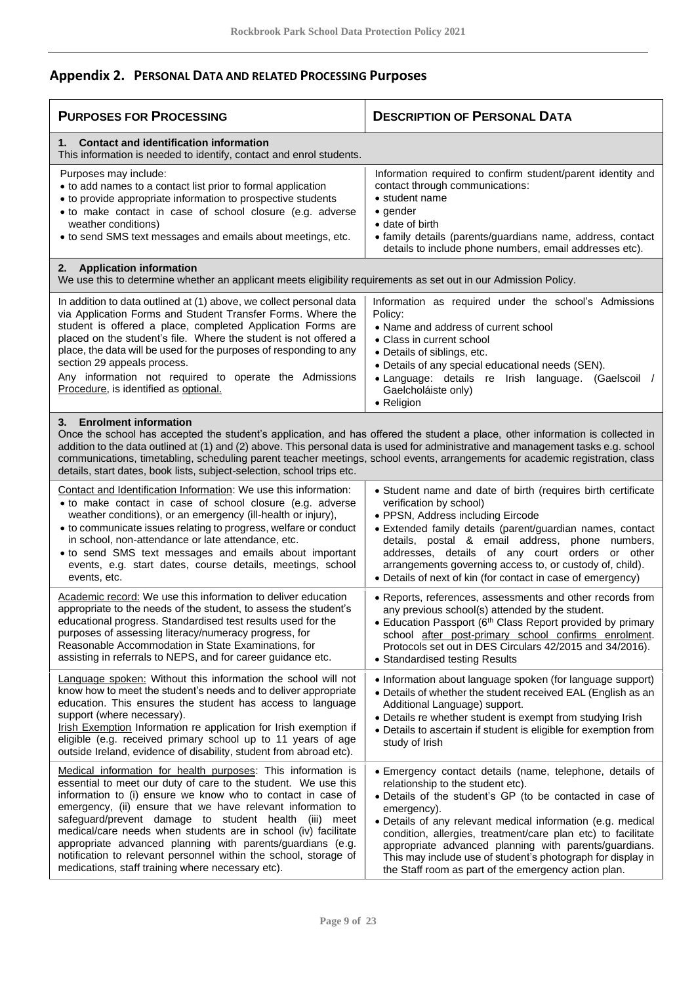# <span id="page-8-0"></span>**Appendix 2. PERSONAL DATA AND RELATED PROCESSING Purposes**

| <b>PURPOSES FOR PROCESSING</b>                                                                                                                                                                                                                                                                                                                                                                                                                                                                                                                                                 | <b>DESCRIPTION OF PERSONAL DATA</b>                                                                                                                                                                                                                                                                                                                                                                                                                                                      |  |
|--------------------------------------------------------------------------------------------------------------------------------------------------------------------------------------------------------------------------------------------------------------------------------------------------------------------------------------------------------------------------------------------------------------------------------------------------------------------------------------------------------------------------------------------------------------------------------|------------------------------------------------------------------------------------------------------------------------------------------------------------------------------------------------------------------------------------------------------------------------------------------------------------------------------------------------------------------------------------------------------------------------------------------------------------------------------------------|--|
| <b>Contact and identification information</b><br>1.<br>This information is needed to identify, contact and enrol students.                                                                                                                                                                                                                                                                                                                                                                                                                                                     |                                                                                                                                                                                                                                                                                                                                                                                                                                                                                          |  |
| Purposes may include:<br>• to add names to a contact list prior to formal application<br>• to provide appropriate information to prospective students<br>• to make contact in case of school closure (e.g. adverse<br>weather conditions)<br>• to send SMS text messages and emails about meetings, etc.                                                                                                                                                                                                                                                                       | Information required to confirm student/parent identity and<br>contact through communications:<br>$\bullet$ student name<br>$\bullet$ gender<br>• date of birth<br>• family details (parents/guardians name, address, contact<br>details to include phone numbers, email addresses etc).                                                                                                                                                                                                 |  |
| 2. Application information<br>We use this to determine whether an applicant meets eligibility requirements as set out in our Admission Policy.                                                                                                                                                                                                                                                                                                                                                                                                                                 |                                                                                                                                                                                                                                                                                                                                                                                                                                                                                          |  |
| In addition to data outlined at (1) above, we collect personal data<br>via Application Forms and Student Transfer Forms. Where the<br>student is offered a place, completed Application Forms are<br>placed on the student's file. Where the student is not offered a<br>place, the data will be used for the purposes of responding to any<br>section 29 appeals process.<br>Any information not required to operate the Admissions<br>Procedure, is identified as optional.                                                                                                  | Information as required under the school's Admissions<br>Policy:<br>• Name and address of current school<br>• Class in current school<br>• Details of siblings, etc.<br>• Details of any special educational needs (SEN).<br>· Language: details re Irish language. (Gaelscoil /<br>Gaelcholáiste only)<br>• Religion                                                                                                                                                                    |  |
| 3. Enrolment information<br>Once the school has accepted the student's application, and has offered the student a place, other information is collected in<br>addition to the data outlined at (1) and (2) above. This personal data is used for administrative and management tasks e.g. school<br>communications, timetabling, scheduling parent teacher meetings, school events, arrangements for academic registration, class<br>details, start dates, book lists, subject-selection, school trips etc.                                                                    |                                                                                                                                                                                                                                                                                                                                                                                                                                                                                          |  |
| Contact and Identification Information: We use this information:<br>• to make contact in case of school closure (e.g. adverse<br>weather conditions), or an emergency (ill-health or injury),<br>• to communicate issues relating to progress, welfare or conduct<br>in school, non-attendance or late attendance, etc.<br>• to send SMS text messages and emails about important<br>events, e.g. start dates, course details, meetings, school<br>events, etc.                                                                                                                | • Student name and date of birth (requires birth certificate<br>verification by school)<br>· PPSN, Address including Eircode<br>· Extended family details (parent/guardian names, contact<br>details, postal & email address, phone numbers,<br>addresses, details of any court orders or other<br>arrangements governing access to, or custody of, child).<br>• Details of next of kin (for contact in case of emergency)                                                               |  |
| Academic record: We use this information to deliver education<br>appropriate to the needs of the student, to assess the student's<br>educational progress. Standardised test results used for the<br>purposes of assessing literacy/numeracy progress, for<br>Reasonable Accommodation in State Examinations, for<br>assisting in referrals to NEPS, and for career guidance etc.                                                                                                                                                                                              | • Reports, references, assessments and other records from<br>any previous school(s) attended by the student.<br>• Education Passport (6 <sup>th</sup> Class Report provided by primary<br>school after post-primary school confirms enrolment.<br>Protocols set out in DES Circulars 42/2015 and 34/2016).<br>• Standardised testing Results                                                                                                                                             |  |
| <b>Language spoken:</b> Without this information the school will not<br>know how to meet the student's needs and to deliver appropriate<br>education. This ensures the student has access to language<br>support (where necessary).<br>Irish Exemption Information re application for Irish exemption if<br>eligible (e.g. received primary school up to 11 years of age<br>outside Ireland, evidence of disability, student from abroad etc).                                                                                                                                 | • Information about language spoken (for language support)<br>• Details of whether the student received EAL (English as an<br>Additional Language) support.<br>• Details re whether student is exempt from studying Irish<br>• Details to ascertain if student is eligible for exemption from<br>study of Irish                                                                                                                                                                          |  |
| Medical information for health purposes: This information is<br>essential to meet our duty of care to the student. We use this<br>information to (i) ensure we know who to contact in case of<br>emergency, (ii) ensure that we have relevant information to<br>safeguard/prevent damage to student health (iii) meet<br>medical/care needs when students are in school (iv) facilitate<br>appropriate advanced planning with parents/guardians (e.g.<br>notification to relevant personnel within the school, storage of<br>medications, staff training where necessary etc). | · Emergency contact details (name, telephone, details of<br>relationship to the student etc).<br>. Details of the student's GP (to be contacted in case of<br>emergency).<br>• Details of any relevant medical information (e.g. medical<br>condition, allergies, treatment/care plan etc) to facilitate<br>appropriate advanced planning with parents/guardians.<br>This may include use of student's photograph for display in<br>the Staff room as part of the emergency action plan. |  |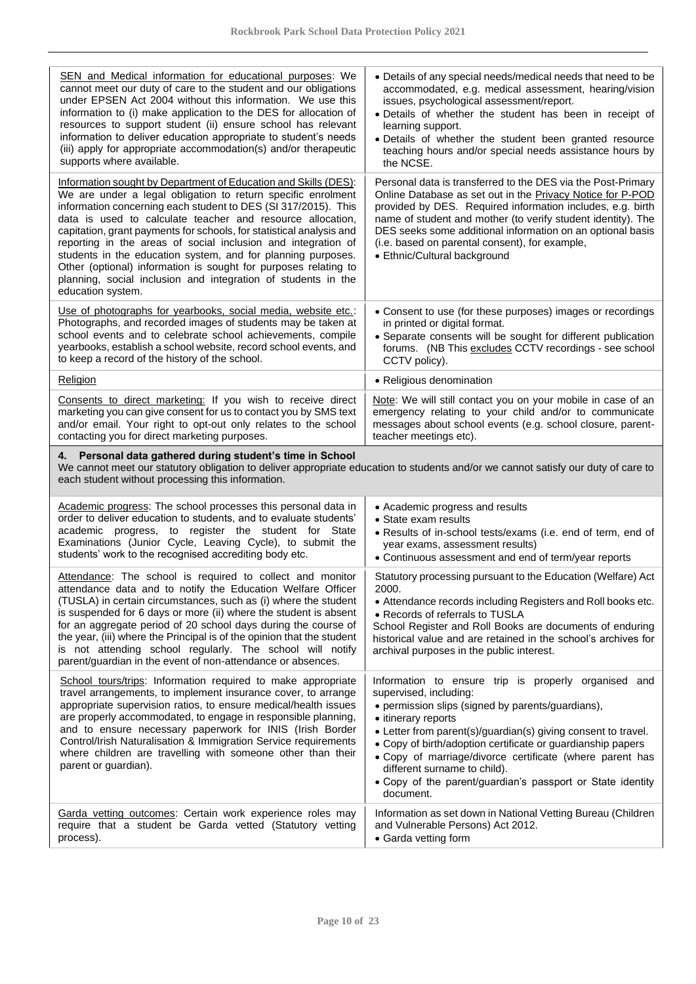| <b>SEN</b> and Medical information for educational purposes: We<br>cannot meet our duty of care to the student and our obligations<br>under EPSEN Act 2004 without this information. We use this<br>information to (i) make application to the DES for allocation of<br>resources to support student (ii) ensure school has relevant<br>information to deliver education appropriate to student's needs<br>(iii) apply for appropriate accommodation(s) and/or therapeutic<br>supports where available.                                                                                                                           | • Details of any special needs/medical needs that need to be<br>accommodated, e.g. medical assessment, hearing/vision<br>issues, psychological assessment/report.<br>· Details of whether the student has been in receipt of<br>learning support.<br>· Details of whether the student been granted resource<br>teaching hours and/or special needs assistance hours by<br>the NCSE.                                                                               |  |  |
|-----------------------------------------------------------------------------------------------------------------------------------------------------------------------------------------------------------------------------------------------------------------------------------------------------------------------------------------------------------------------------------------------------------------------------------------------------------------------------------------------------------------------------------------------------------------------------------------------------------------------------------|-------------------------------------------------------------------------------------------------------------------------------------------------------------------------------------------------------------------------------------------------------------------------------------------------------------------------------------------------------------------------------------------------------------------------------------------------------------------|--|--|
| Information sought by Department of Education and Skills (DES):<br>We are under a legal obligation to return specific enrolment<br>information concerning each student to DES (SI 317/2015). This<br>data is used to calculate teacher and resource allocation,<br>capitation, grant payments for schools, for statistical analysis and<br>reporting in the areas of social inclusion and integration of<br>students in the education system, and for planning purposes.<br>Other (optional) information is sought for purposes relating to<br>planning, social inclusion and integration of students in the<br>education system. | Personal data is transferred to the DES via the Post-Primary<br>Online Database as set out in the Privacy Notice for P-POD<br>provided by DES. Required information includes, e.g. birth<br>name of student and mother (to verify student identity). The<br>DES seeks some additional information on an optional basis<br>(i.e. based on parental consent), for example,<br>• Ethnic/Cultural background                                                          |  |  |
| Use of photographs for yearbooks, social media, website etc.:<br>Photographs, and recorded images of students may be taken at<br>school events and to celebrate school achievements, compile<br>yearbooks, establish a school website, record school events, and<br>to keep a record of the history of the school.                                                                                                                                                                                                                                                                                                                | • Consent to use (for these purposes) images or recordings<br>in printed or digital format.<br>• Separate consents will be sought for different publication<br>forums. (NB This excludes CCTV recordings - see school<br>CCTV policy).                                                                                                                                                                                                                            |  |  |
| <b>Religion</b>                                                                                                                                                                                                                                                                                                                                                                                                                                                                                                                                                                                                                   | • Religious denomination                                                                                                                                                                                                                                                                                                                                                                                                                                          |  |  |
| Consents to direct marketing: If you wish to receive direct<br>marketing you can give consent for us to contact you by SMS text<br>and/or email. Your right to opt-out only relates to the school<br>contacting you for direct marketing purposes.                                                                                                                                                                                                                                                                                                                                                                                | Note: We will still contact you on your mobile in case of an<br>emergency relating to your child and/or to communicate<br>messages about school events (e.g. school closure, parent-<br>teacher meetings etc).                                                                                                                                                                                                                                                    |  |  |
| 4. Personal data gathered during student's time in School<br>We cannot meet our statutory obligation to deliver appropriate education to students and/or we cannot satisfy our duty of care to<br>each student without processing this information.                                                                                                                                                                                                                                                                                                                                                                               |                                                                                                                                                                                                                                                                                                                                                                                                                                                                   |  |  |
| Academic progress: The school processes this personal data in<br>order to deliver education to students, and to evaluate students'<br>academic progress, to register the student for State<br>Examinations (Junior Cycle, Leaving Cycle), to submit the<br>students' work to the recognised accrediting body etc.                                                                                                                                                                                                                                                                                                                 | • Academic progress and results<br>• State exam results<br>· Results of in-school tests/exams (i.e. end of term, end of<br>year exams, assessment results)<br>• Continuous assessment and end of term/year reports                                                                                                                                                                                                                                                |  |  |
| Attendance: The school is required to collect and monitor<br>attendance data and to notify the Education Welfare Officer<br>(TUSLA) in certain circumstances, such as (i) where the student<br>is suspended for 6 days or more (ii) where the student is absent<br>for an aggregate period of 20 school days during the course of<br>the year, (iii) where the Principal is of the opinion that the student<br>is not attending school regularly. The school will notify<br>parent/guardian in the event of non-attendance or absences.                                                                                           | Statutory processing pursuant to the Education (Welfare) Act<br>2000.<br>• Attendance records including Registers and Roll books etc.<br>• Records of referrals to TUSLA<br>School Register and Roll Books are documents of enduring<br>historical value and are retained in the school's archives for<br>archival purposes in the public interest.                                                                                                               |  |  |
| School tours/trips: Information required to make appropriate<br>travel arrangements, to implement insurance cover, to arrange<br>appropriate supervision ratios, to ensure medical/health issues<br>are properly accommodated, to engage in responsible planning,<br>and to ensure necessary paperwork for INIS (Irish Border<br>Control/Irish Naturalisation & Immigration Service requirements<br>where children are travelling with someone other than their<br>parent or guardian).                                                                                                                                           | Information to ensure trip is properly organised and<br>supervised, including:<br>• permission slips (signed by parents/guardians),<br>• itinerary reports<br>• Letter from parent(s)/guardian(s) giving consent to travel.<br>• Copy of birth/adoption certificate or guardianship papers<br>. Copy of marriage/divorce certificate (where parent has<br>different surname to child).<br>• Copy of the parent/guardian's passport or State identity<br>document. |  |  |
| Garda vetting outcomes: Certain work experience roles may<br>require that a student be Garda vetted (Statutory vetting<br>process).                                                                                                                                                                                                                                                                                                                                                                                                                                                                                               | Information as set down in National Vetting Bureau (Children<br>and Vulnerable Persons) Act 2012.<br>• Garda vetting form                                                                                                                                                                                                                                                                                                                                         |  |  |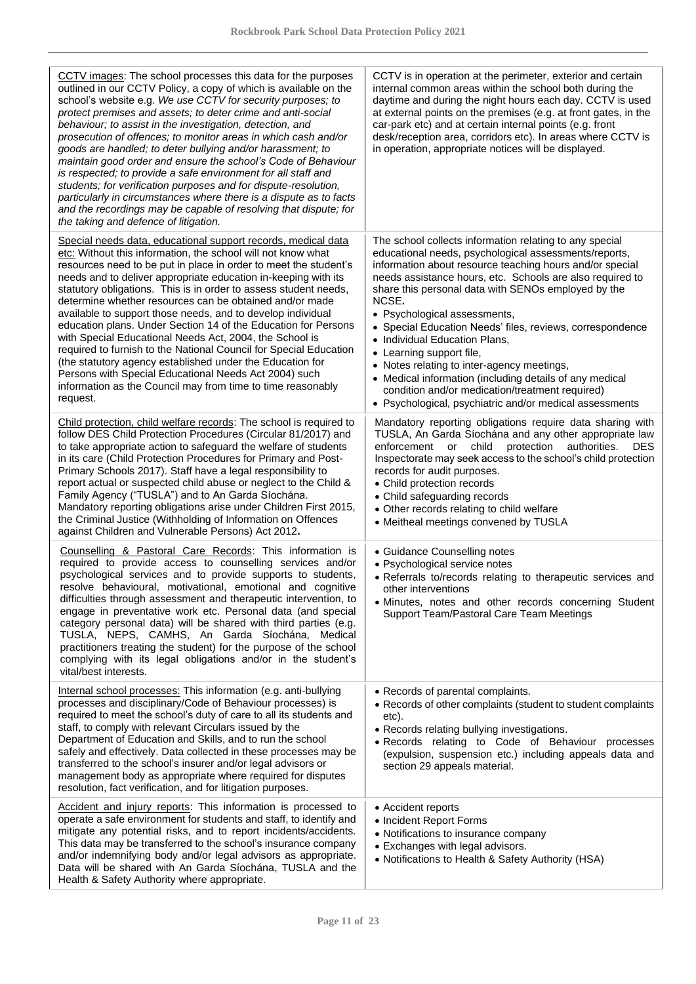| <b>CCTV</b> images: The school processes this data for the purposes<br>outlined in our CCTV Policy, a copy of which is available on the<br>school's website e.g. We use CCTV for security purposes; to<br>protect premises and assets; to deter crime and anti-social<br>behaviour; to assist in the investigation, detection, and<br>prosecution of offences; to monitor areas in which cash and/or<br>goods are handled; to deter bullying and/or harassment; to<br>maintain good order and ensure the school's Code of Behaviour<br>is respected; to provide a safe environment for all staff and<br>students; for verification purposes and for dispute-resolution,<br>particularly in circumstances where there is a dispute as to facts<br>and the recordings may be capable of resolving that dispute; for<br>the taking and defence of litigation.           | CCTV is in operation at the perimeter, exterior and certain<br>internal common areas within the school both during the<br>daytime and during the night hours each day. CCTV is used<br>at external points on the premises (e.g. at front gates, in the<br>car-park etc) and at certain internal points (e.g. front<br>desk/reception area, corridors etc). In areas where CCTV is<br>in operation, appropriate notices will be displayed.                                                                                                                                                                                                                                                  |
|----------------------------------------------------------------------------------------------------------------------------------------------------------------------------------------------------------------------------------------------------------------------------------------------------------------------------------------------------------------------------------------------------------------------------------------------------------------------------------------------------------------------------------------------------------------------------------------------------------------------------------------------------------------------------------------------------------------------------------------------------------------------------------------------------------------------------------------------------------------------|--------------------------------------------------------------------------------------------------------------------------------------------------------------------------------------------------------------------------------------------------------------------------------------------------------------------------------------------------------------------------------------------------------------------------------------------------------------------------------------------------------------------------------------------------------------------------------------------------------------------------------------------------------------------------------------------|
| Special needs data, educational support records, medical data<br>etc: Without this information, the school will not know what<br>resources need to be put in place in order to meet the student's<br>needs and to deliver appropriate education in-keeping with its<br>statutory obligations. This is in order to assess student needs,<br>determine whether resources can be obtained and/or made<br>available to support those needs, and to develop individual<br>education plans. Under Section 14 of the Education for Persons<br>with Special Educational Needs Act, 2004, the School is<br>required to furnish to the National Council for Special Education<br>(the statutory agency established under the Education for<br>Persons with Special Educational Needs Act 2004) such<br>information as the Council may from time to time reasonably<br>request. | The school collects information relating to any special<br>educational needs, psychological assessments/reports,<br>information about resource teaching hours and/or special<br>needs assistance hours, etc. Schools are also required to<br>share this personal data with SENOs employed by the<br>NCSE.<br>• Psychological assessments,<br>• Special Education Needs' files, reviews, correspondence<br>• Individual Education Plans,<br>• Learning support file,<br>• Notes relating to inter-agency meetings,<br>• Medical information (including details of any medical<br>condition and/or medication/treatment required)<br>• Psychological, psychiatric and/or medical assessments |
| Child protection, child welfare records: The school is required to<br>follow DES Child Protection Procedures (Circular 81/2017) and<br>to take appropriate action to safeguard the welfare of students<br>in its care (Child Protection Procedures for Primary and Post-<br>Primary Schools 2017). Staff have a legal responsibility to<br>report actual or suspected child abuse or neglect to the Child &<br>Family Agency ("TUSLA") and to An Garda Síochána.<br>Mandatory reporting obligations arise under Children First 2015,<br>the Criminal Justice (Withholding of Information on Offences<br>against Children and Vulnerable Persons) Act 2012.                                                                                                                                                                                                           | Mandatory reporting obligations require data sharing with<br>TUSLA, An Garda Síochána and any other appropriate law<br>enforcement or child<br>protection<br>authorities.<br><b>DES</b><br>Inspectorate may seek access to the school's child protection<br>records for audit purposes.<br>• Child protection records<br>• Child safeguarding records<br>• Other records relating to child welfare<br>• Meitheal meetings convened by TUSLA                                                                                                                                                                                                                                                |
| Counselling & Pastoral Care Records: This information is<br>required to provide access to counselling services and/or<br>psychological services and to provide supports to students,<br>resolve behavioural, motivational, emotional and cognitive<br>difficulties through assessment and therapeutic intervention, to<br>engage in preventative work etc. Personal data (and special<br>category personal data) will be shared with third parties (e.g.<br>TUSLA, NEPS, CAMHS, An Garda Síochána, Medical<br>practitioners treating the student) for the purpose of the school<br>complying with its legal obligations and/or in the student's<br>vital/best interests.                                                                                                                                                                                             | • Guidance Counselling notes<br>• Psychological service notes<br>• Referrals to/records relating to therapeutic services and<br>other interventions<br>• Minutes, notes and other records concerning Student<br>Support Team/Pastoral Care Team Meetings                                                                                                                                                                                                                                                                                                                                                                                                                                   |
| Internal school processes: This information (e.g. anti-bullying<br>processes and disciplinary/Code of Behaviour processes) is<br>required to meet the school's duty of care to all its students and<br>staff, to comply with relevant Circulars issued by the<br>Department of Education and Skills, and to run the school<br>safely and effectively. Data collected in these processes may be<br>transferred to the school's insurer and/or legal advisors or<br>management body as appropriate where required for disputes<br>resolution, fact verification, and for litigation purposes.                                                                                                                                                                                                                                                                          | • Records of parental complaints.<br>• Records of other complaints (student to student complaints<br>etc).<br>• Records relating bullying investigations.<br>· Records relating to Code of Behaviour processes<br>(expulsion, suspension etc.) including appeals data and<br>section 29 appeals material.                                                                                                                                                                                                                                                                                                                                                                                  |
| Accident and injury reports: This information is processed to<br>operate a safe environment for students and staff, to identify and<br>mitigate any potential risks, and to report incidents/accidents.<br>This data may be transferred to the school's insurance company<br>and/or indemnifying body and/or legal advisors as appropriate.<br>Data will be shared with An Garda Síochána, TUSLA and the<br>Health & Safety Authority where appropriate.                                                                                                                                                                                                                                                                                                                                                                                                             | • Accident reports<br>• Incident Report Forms<br>• Notifications to insurance company<br>• Exchanges with legal advisors.<br>• Notifications to Health & Safety Authority (HSA)                                                                                                                                                                                                                                                                                                                                                                                                                                                                                                            |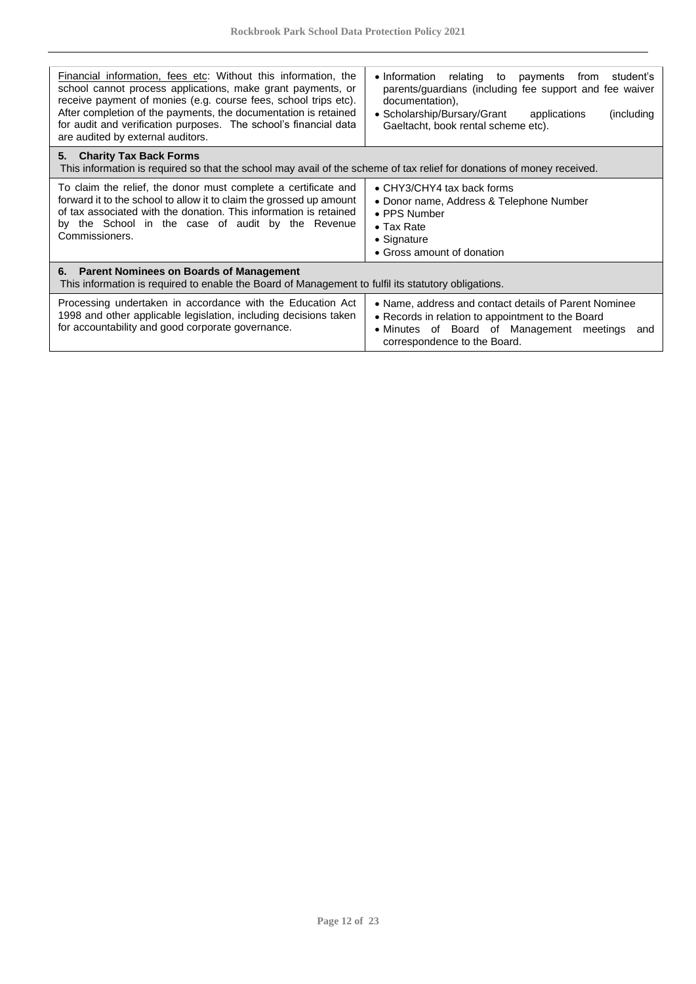| Financial information, fees etc: Without this information, the<br>school cannot process applications, make grant payments, or<br>receive payment of monies (e.g. course fees, school trips etc).<br>After completion of the payments, the documentation is retained<br>for audit and verification purposes. The school's financial data<br>are audited by external auditors. | • Information relating to payments from<br>student's<br>parents/guardians (including fee support and fee waiver<br>documentation),<br>• Scholarship/Bursary/Grant<br>applications<br>(including<br>Gaeltacht, book rental scheme etc). |  |  |  |
|------------------------------------------------------------------------------------------------------------------------------------------------------------------------------------------------------------------------------------------------------------------------------------------------------------------------------------------------------------------------------|----------------------------------------------------------------------------------------------------------------------------------------------------------------------------------------------------------------------------------------|--|--|--|
| 5. Charity Tax Back Forms<br>This information is required so that the school may avail of the scheme of tax relief for donations of money received.                                                                                                                                                                                                                          |                                                                                                                                                                                                                                        |  |  |  |
| To claim the relief, the donor must complete a certificate and<br>forward it to the school to allow it to claim the grossed up amount<br>of tax associated with the donation. This information is retained<br>by the School in the case of audit by the Revenue<br>Commissioners.                                                                                            | • CHY3/CHY4 tax back forms<br>• Donor name, Address & Telephone Number<br>• PPS Number<br>$\bullet$ Tax Rate<br>• Signature<br>• Gross amount of donation                                                                              |  |  |  |
| 6. Parent Nominees on Boards of Management<br>This information is required to enable the Board of Management to fulfil its statutory obligations.                                                                                                                                                                                                                            |                                                                                                                                                                                                                                        |  |  |  |
| Processing undertaken in accordance with the Education Act<br>1998 and other applicable legislation, including decisions taken<br>for accountability and good corporate governance.                                                                                                                                                                                          | • Name, address and contact details of Parent Nominee<br>• Records in relation to appointment to the Board<br>• Minutes of Board of Management meetings<br>and<br>correspondence to the Board.                                         |  |  |  |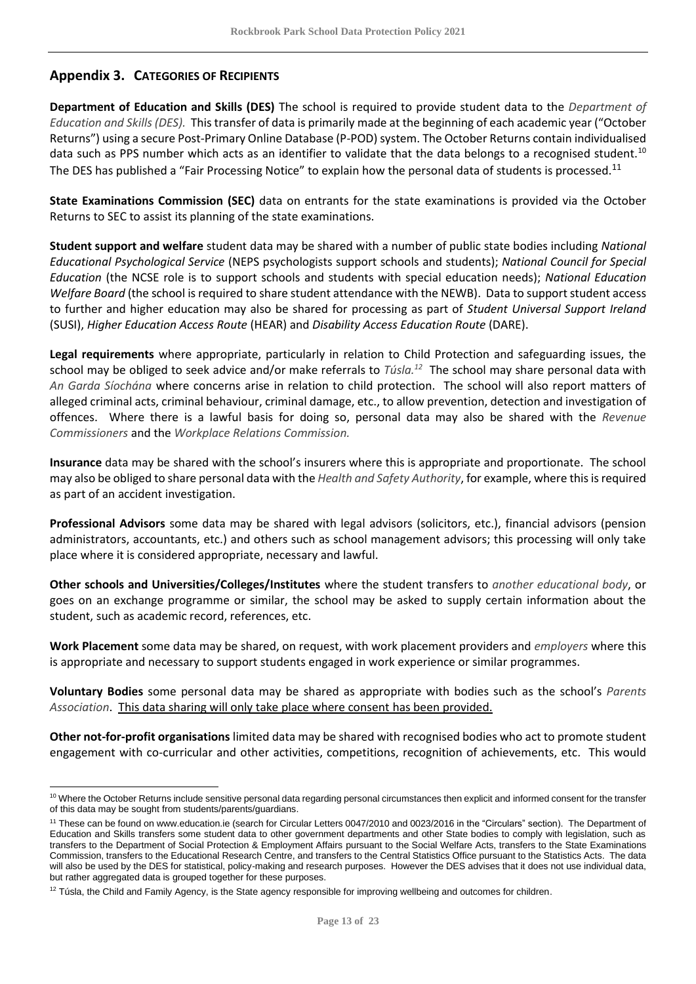# <span id="page-12-0"></span>**Appendix 3. CATEGORIES OF RECIPIENTS**

**Department of Education and Skills (DES)** The school is required to provide student data to the *Department of Education and Skills (DES).* This transfer of data is primarily made at the beginning of each academic year ("October Returns") using a secure Post-Primary Online Database (P-POD) system. The October Returns contain individualised data such as PPS number which acts as an identifier to validate that the data belongs to a recognised student.<sup>10</sup> The DES has published a "Fair Processing Notice" to explain how the personal data of students is processed.<sup>11</sup>

**State Examinations Commission (SEC)** data on entrants for the state examinations is provided via the October Returns to SEC to assist its planning of the state examinations.

**Student support and welfare** student data may be shared with a number of public state bodies including *National Educational Psychological Service* (NEPS psychologists support schools and students); *National Council for Special Education* (the NCSE role is to support schools and students with special education needs); *National Education Welfare Board* (the school is required to share student attendance with the NEWB). Data to support student access to further and higher education may also be shared for processing as part of *Student Universal Support Ireland* (SUSI), *Higher Education Access Route* (HEAR) and *Disability Access Education Route* (DARE).

**Legal requirements** where appropriate, particularly in relation to Child Protection and safeguarding issues, the school may be obliged to seek advice and/or make referrals to *Túsla.<sup>12</sup>* The school may share personal data with *An Garda Síochána* where concerns arise in relation to child protection. The school will also report matters of alleged criminal acts, criminal behaviour, criminal damage, etc., to allow prevention, detection and investigation of offences. Where there is a lawful basis for doing so, personal data may also be shared with the *Revenue Commissioners* and the *Workplace Relations Commission.*

**Insurance** data may be shared with the school's insurers where this is appropriate and proportionate. The school may also be obliged to share personal data with the *Health and Safety Authority*, for example, where this is required as part of an accident investigation.

**Professional Advisors** some data may be shared with legal advisors (solicitors, etc.), financial advisors (pension administrators, accountants, etc.) and others such as school management advisors; this processing will only take place where it is considered appropriate, necessary and lawful.

**Other schools and Universities/Colleges/Institutes** where the student transfers to *another educational body*, or goes on an exchange programme or similar, the school may be asked to supply certain information about the student, such as academic record, references, etc.

**Work Placement** some data may be shared, on request, with work placement providers and *employers* where this is appropriate and necessary to support students engaged in work experience or similar programmes.

**Voluntary Bodies** some personal data may be shared as appropriate with bodies such as the school's *Parents Association*. This data sharing will only take place where consent has been provided.

**Other not-for-profit organisations** limited data may be shared with recognised bodies who act to promote student engagement with co-curricular and other activities, competitions, recognition of achievements, etc. This would

<sup>&</sup>lt;sup>10</sup> Where the October Returns include sensitive personal data regarding personal circumstances then explicit and informed consent for the transfer of this data may be sought from students/parents/guardians.

<sup>&</sup>lt;sup>11</sup> These can be found on www.education.ie (search for Circular Letters 0047/2010 and 0023/2016 in the "Circulars" section). The Department of Education and Skills transfers some student data to other government departments and other State bodies to comply with legislation, such as transfers to the Department of Social Protection & Employment Affairs pursuant to the Social Welfare Acts, transfers to the State Examinations Commission, transfers to the Educational Research Centre, and transfers to the Central Statistics Office pursuant to the Statistics Acts. The data will also be used by the DES for statistical, policy-making and research purposes. However the DES advises that it does not use individual data, but rather aggregated data is grouped together for these purposes.

 $12$  Túsla, the Child and Family Agency, is the State agency responsible for improving wellbeing and outcomes for children.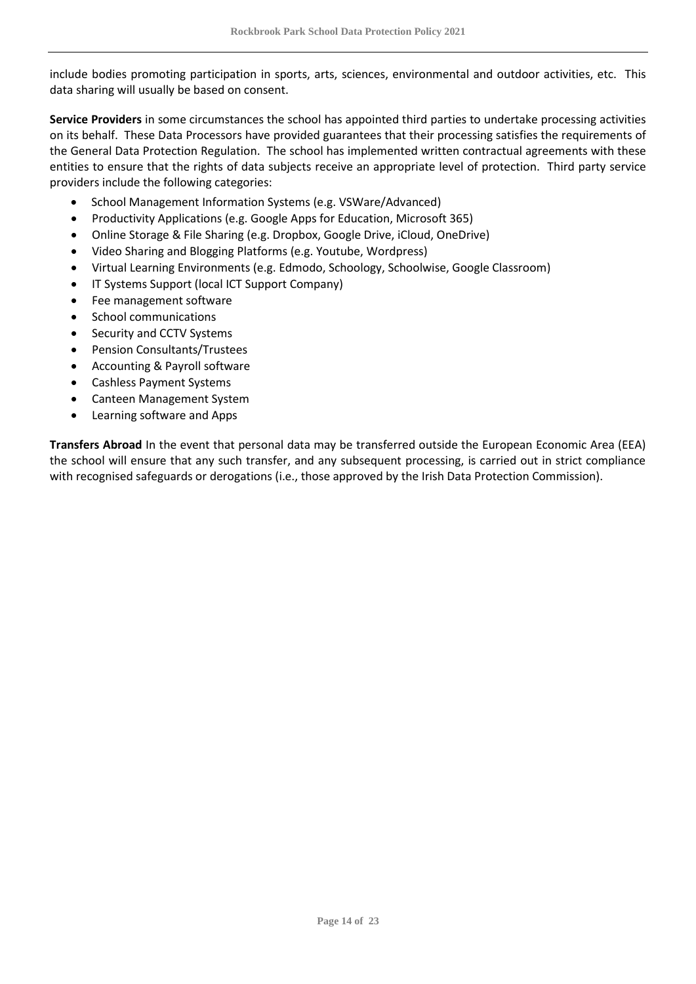include bodies promoting participation in sports, arts, sciences, environmental and outdoor activities, etc. This data sharing will usually be based on consent.

**Service Providers** in some circumstances the school has appointed third parties to undertake processing activities on its behalf. These Data Processors have provided guarantees that their processing satisfies the requirements of the General Data Protection Regulation. The school has implemented written contractual agreements with these entities to ensure that the rights of data subjects receive an appropriate level of protection. Third party service providers include the following categories:

- School Management Information Systems (e.g. VSWare/Advanced)
- Productivity Applications (e.g. Google Apps for Education, Microsoft 365)
- Online Storage & File Sharing (e.g. Dropbox, Google Drive, iCloud, OneDrive)
- Video Sharing and Blogging Platforms (e.g. Youtube, Wordpress)
- Virtual Learning Environments (e.g. Edmodo, Schoology, Schoolwise, Google Classroom)
- IT Systems Support (local ICT Support Company)
- Fee management software
- School communications
- Security and CCTV Systems
- Pension Consultants/Trustees
- Accounting & Payroll software
- Cashless Payment Systems
- Canteen Management System
- Learning software and Apps

**Transfers Abroad** In the event that personal data may be transferred outside the European Economic Area (EEA) the school will ensure that any such transfer, and any subsequent processing, is carried out in strict compliance with recognised safeguards or derogations (i.e., those approved by the Irish Data Protection Commission).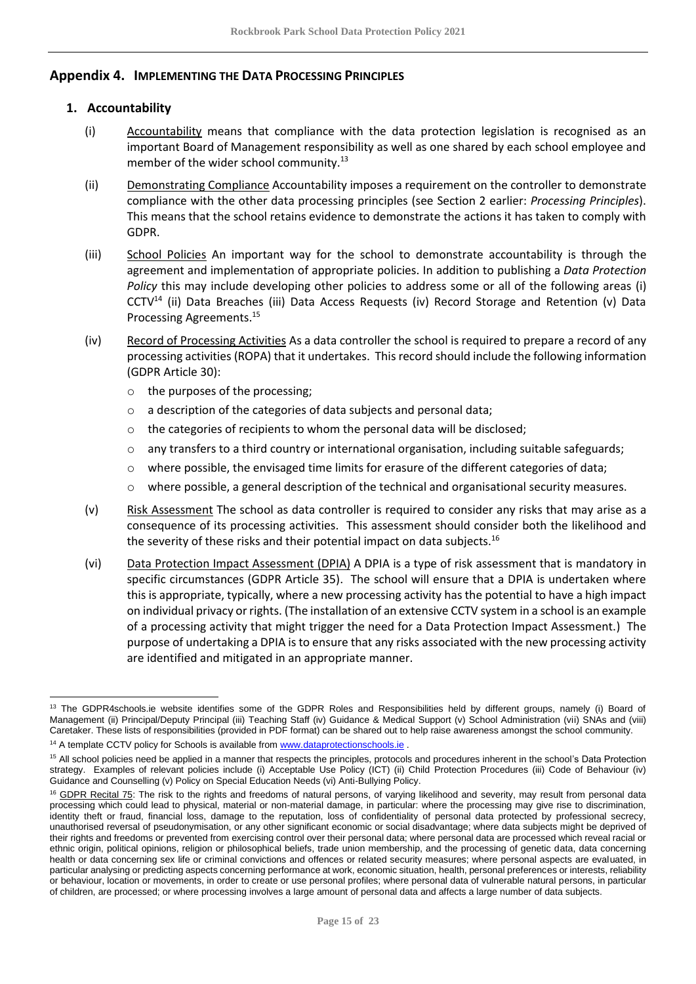# <span id="page-14-0"></span>**Appendix 4. IMPLEMENTING THE DATA PROCESSING PRINCIPLES**

# **1. Accountability**

- (i) Accountability means that compliance with the data protection legislation is recognised as an important Board of Management responsibility as well as one shared by each school employee and member of the wider school community.<sup>13</sup>
- (ii) Demonstrating Compliance Accountability imposes a requirement on the controller to demonstrate compliance with the other data processing principles (see Section 2 earlier: *Processing Principles*). This means that the school retains evidence to demonstrate the actions it has taken to comply with GDPR.
- (iii) School Policies An important way for the school to demonstrate accountability is through the agreement and implementation of appropriate policies. In addition to publishing a *Data Protection Policy* this may include developing other policies to address some or all of the following areas (i) CCTV<sup>14</sup> (ii) Data Breaches (iii) Data Access Requests (iv) Record Storage and Retention (v) Data Processing Agreements.<sup>15</sup>
- (iv) Record of Processing Activities As a data controller the school is required to prepare a record of any processing activities (ROPA) that it undertakes. This record should include the following information (GDPR Article 30):
	- o the purposes of the processing;
	- o a description of the categories of data subjects and personal data;
	- o the categories of recipients to whom the personal data will be disclosed;
	- $\circ$  any transfers to a third country or international organisation, including suitable safeguards;
	- $\circ$  where possible, the envisaged time limits for erasure of the different categories of data;
	- where possible, a general description of the technical and organisational security measures.
- (v) Risk Assessment The school as data controller is required to consider any risks that may arise as a consequence of its processing activities. This assessment should consider both the likelihood and the severity of these risks and their potential impact on data subjects.<sup>16</sup>
- (vi) Data Protection Impact Assessment (DPIA) A DPIA is a type of risk assessment that is mandatory in specific circumstances (GDPR Article 35). The school will ensure that a DPIA is undertaken where this is appropriate, typically, where a new processing activity has the potential to have a high impact on individual privacy or rights. (The installation of an extensive CCTV system in a school is an example of a processing activity that might trigger the need for a Data Protection Impact Assessment.) The purpose of undertaking a DPIA is to ensure that any risks associated with the new processing activity are identified and mitigated in an appropriate manner.

<sup>&</sup>lt;sup>13</sup> The GDPR4schools.ie website identifies some of the GDPR Roles and Responsibilities held by different groups, namely (i) Board of Management (ii) Principal/Deputy Principal (iii) Teaching Staff (iv) Guidance & Medical Support (v) School Administration (vii) SNAs and (viii) Caretaker. These lists of responsibilities (provided in PDF format) can be shared out to help raise awareness amongst the school community.

<sup>&</sup>lt;sup>14</sup> A template CCTV policy for Schools is available fro[m www.dataprotectionschools.ie](http://www.dataprotectionschools.ie/).

<sup>&</sup>lt;sup>15</sup> All school policies need be applied in a manner that respects the principles, protocols and procedures inherent in the school's Data Protection strategy. Examples of relevant policies include (i) Acceptable Use Policy (ICT) (ii) Child Protection Procedures (iii) Code of Behaviour (iv) Guidance and Counselling (v) Policy on Special Education Needs (vi) Anti-Bullying Policy.

<sup>&</sup>lt;sup>16</sup> GDPR Recital 75: The risk to the rights and freedoms of natural persons, of varying likelihood and severity, may result from personal data processing which could lead to physical, material or non-material damage, in particular: where the processing may give rise to discrimination, identity theft or fraud, financial loss, damage to the reputation, loss of confidentiality of personal data protected by professional secrecy, unauthorised reversal of pseudonymisation, or any other significant economic or social disadvantage; where data subjects might be deprived of their rights and freedoms or prevented from exercising control over their personal data; where personal data are processed which reveal racial or ethnic origin, political opinions, religion or philosophical beliefs, trade union membership, and the processing of genetic data, data concerning health or data concerning sex life or criminal convictions and offences or related security measures; where personal aspects are evaluated, in particular analysing or predicting aspects concerning performance at work, economic situation, health, personal preferences or interests, reliability or behaviour, location or movements, in order to create or use personal profiles; where personal data of vulnerable natural persons, in particular of children, are processed; or where processing involves a large amount of personal data and affects a large number of data subjects.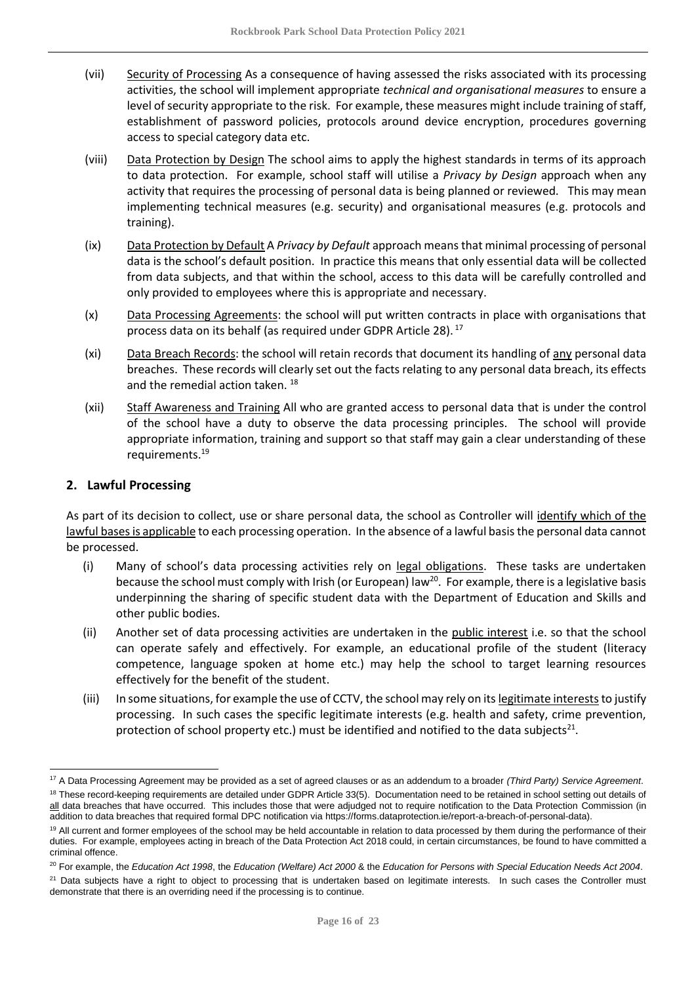- (vii) Security of Processing As a consequence of having assessed the risks associated with its processing activities, the school will implement appropriate *technical and organisational measures* to ensure a level of security appropriate to the risk. For example, these measures might include training of staff, establishment of password policies, protocols around device encryption, procedures governing access to special category data etc.
- (viii) Data Protection by Design The school aims to apply the highest standards in terms of its approach to data protection. For example, school staff will utilise a *Privacy by Design* approach when any activity that requires the processing of personal data is being planned or reviewed. This may mean implementing technical measures (e.g. security) and organisational measures (e.g. protocols and training).
- (ix) Data Protection by Default A *Privacy by Default* approach means that minimal processing of personal data is the school's default position. In practice this means that only essential data will be collected from data subjects, and that within the school, access to this data will be carefully controlled and only provided to employees where this is appropriate and necessary.
- (x) Data Processing Agreements: the school will put written contracts in place with organisations that process data on its behalf (as required under GDPR Article 28). 17
- (xi) Data Breach Records: the school will retain records that document its handling of any personal data breaches. These records will clearly set out the facts relating to any personal data breach, its effects and the remedial action taken.<sup>18</sup>
- (xii) Staff Awareness and Training All who are granted access to personal data that is under the control of the school have a duty to observe the data processing principles. The school will provide appropriate information, training and support so that staff may gain a clear understanding of these requirements.<sup>19</sup>

# **2. Lawful Processing**

As part of its decision to collect, use or share personal data, the school as Controller will identify which of the lawful bases is applicable to each processing operation. In the absence of a lawful basis the personal data cannot be processed.

- (i) Many of school's data processing activities rely on legal obligations. These tasks are undertaken because the school must comply with Irish (or European) law<sup>20</sup>. For example, there is a legislative basis underpinning the sharing of specific student data with the Department of Education and Skills and other public bodies.
- (ii) Another set of data processing activities are undertaken in the public interest i.e. so that the school can operate safely and effectively. For example, an educational profile of the student (literacy competence, language spoken at home etc.) may help the school to target learning resources effectively for the benefit of the student.
- (iii) In some situations, for example the use of CCTV, the school may rely on its legitimate interests to justify processing. In such cases the specific legitimate interests (e.g. health and safety, crime prevention, protection of school property etc.) must be identified and notified to the data subjects<sup>21</sup>.

<sup>17</sup> A Data Processing Agreement may be provided as a set of agreed clauses or as an addendum to a broader *(Third Party) Service Agreement*. <sup>18</sup> These record-keeping requirements are detailed under GDPR Article 33(5). Documentation need to be retained in school setting out details of all data breaches that have occurred. This includes those that were adjudged not to require notification to the Data Protection Commission (in addition to data breaches that required formal DPC notification via https://forms.dataprotection.ie/report-a-breach-of-personal-data).

<sup>&</sup>lt;sup>19</sup> All current and former employees of the school may be held accountable in relation to data processed by them during the performance of their duties. For example, employees acting in breach of the Data Protection Act 2018 could, in certain circumstances, be found to have committed a criminal offence.

<sup>20</sup> For example, the *Education Act 1998*, the *Education (Welfare) Act 2000* & the *Education for Persons with Special Education Needs Act 2004*.

<sup>&</sup>lt;sup>21</sup> Data subjects have a right to object to processing that is undertaken based on legitimate interests. In such cases the Controller must demonstrate that there is an overriding need if the processing is to continue.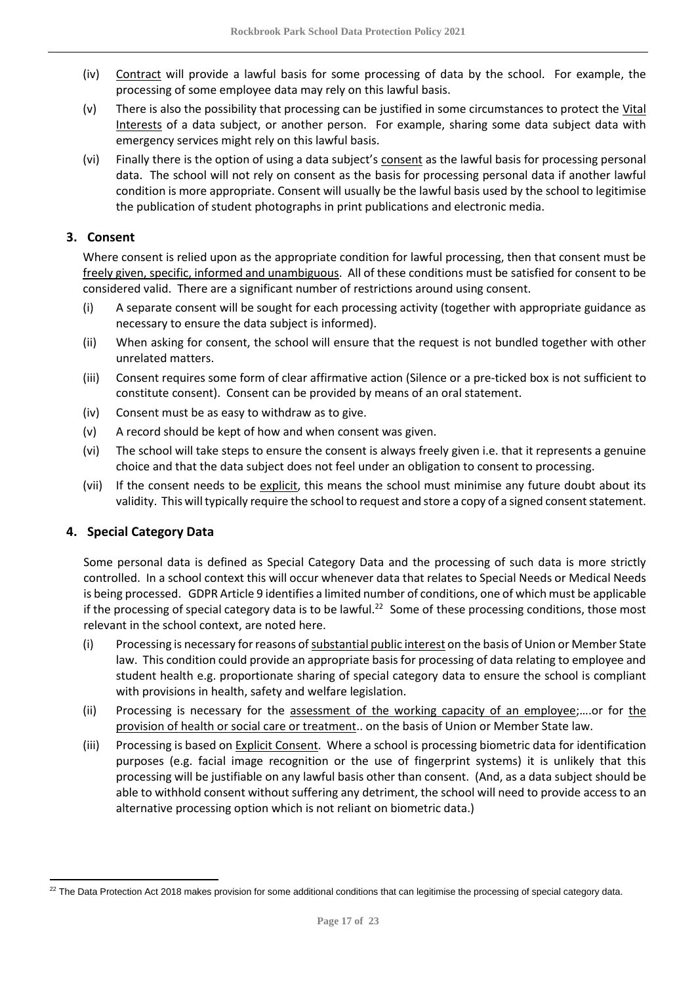- (iv) Contract will provide a lawful basis for some processing of data by the school. For example, the processing of some employee data may rely on this lawful basis.
- (v) There is also the possibility that processing can be justified in some circumstances to protect the Vital Interests of a data subject, or another person. For example, sharing some data subject data with emergency services might rely on this lawful basis.
- (vi) Finally there is the option of using a data subject's consent as the lawful basis for processing personal data. The school will not rely on consent as the basis for processing personal data if another lawful condition is more appropriate. Consent will usually be the lawful basis used by the school to legitimise the publication of student photographs in print publications and electronic media.

# **3. Consent**

Where consent is relied upon as the appropriate condition for lawful processing, then that consent must be freely given, specific, informed and unambiguous. All of these conditions must be satisfied for consent to be considered valid. There are a significant number of restrictions around using consent.

- (i) A separate consent will be sought for each processing activity (together with appropriate guidance as necessary to ensure the data subject is informed).
- (ii) When asking for consent, the school will ensure that the request is not bundled together with other unrelated matters.
- (iii) Consent requires some form of clear affirmative action (Silence or a pre-ticked box is not sufficient to constitute consent). Consent can be provided by means of an oral statement.
- (iv) Consent must be as easy to withdraw as to give.
- (v) A record should be kept of how and when consent was given.
- (vi) The school will take steps to ensure the consent is always freely given i.e. that it represents a genuine choice and that the data subject does not feel under an obligation to consent to processing.
- (vii) If the consent needs to be explicit, this means the school must minimise any future doubt about its validity. This will typically require the school to request and store a copy of a signed consent statement.

# **4. Special Category Data**

Some personal data is defined as Special Category Data and the processing of such data is more strictly controlled. In a school context this will occur whenever data that relates to Special Needs or Medical Needs is being processed. GDPR Article 9 identifies a limited number of conditions, one of which must be applicable if the processing of special category data is to be lawful.<sup>22</sup> Some of these processing conditions, those most relevant in the school context, are noted here.

- (i) Processing is necessary for reasons of substantial public interest on the basis of Union or Member State law. This condition could provide an appropriate basis for processing of data relating to employee and student health e.g. proportionate sharing of special category data to ensure the school is compliant with provisions in health, safety and welfare legislation.
- (ii) Processing is necessary for the assessment of the working capacity of an employee;....or for the provision of health or social care or treatment.. on the basis of Union or Member State law.
- (iii) Processing is based on Explicit Consent. Where a school is processing biometric data for identification purposes (e.g. facial image recognition or the use of fingerprint systems) it is unlikely that this processing will be justifiable on any lawful basis other than consent. (And, as a data subject should be able to withhold consent without suffering any detriment, the school will need to provide access to an alternative processing option which is not reliant on biometric data.)

 $22$  The Data Protection Act 2018 makes provision for some additional conditions that can legitimise the processing of special category data.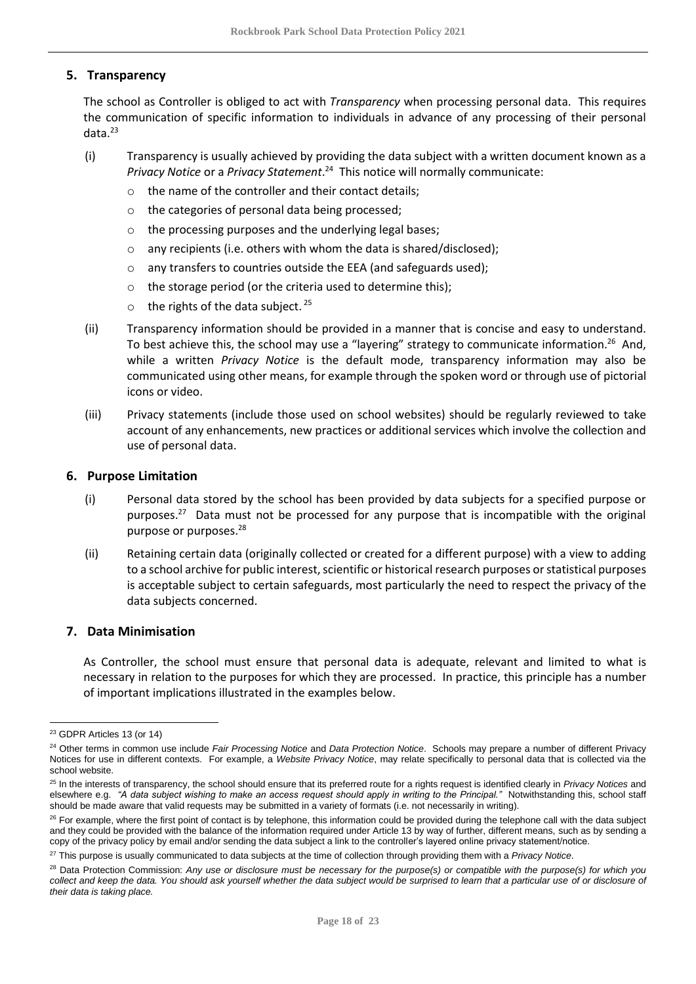# **5. Transparency**

The school as Controller is obliged to act with *Transparency* when processing personal data. This requires the communication of specific information to individuals in advance of any processing of their personal data. $^{23}$ 

- (i) Transparency is usually achieved by providing the data subject with a written document known as a Privacy Notice or a Privacy Statement.<sup>24</sup> This notice will normally communicate:
	- o the name of the controller and their contact details;
	- o the categories of personal data being processed;
	- o the processing purposes and the underlying legal bases;
	- o any recipients (i.e. others with whom the data is shared/disclosed);
	- o any transfers to countries outside the EEA (and safeguards used);
	- o the storage period (or the criteria used to determine this);
	- $\circ$  the rights of the data subject.<sup>25</sup>
- (ii) Transparency information should be provided in a manner that is concise and easy to understand. To best achieve this, the school may use a "layering" strategy to communicate information.<sup>26</sup> And, while a written *Privacy Notice* is the default mode, transparency information may also be communicated using other means, for example through the spoken word or through use of pictorial icons or video.
- (iii) Privacy statements (include those used on school websites) should be regularly reviewed to take account of any enhancements, new practices or additional services which involve the collection and use of personal data.

#### **6. Purpose Limitation**

- (i) Personal data stored by the school has been provided by data subjects for a specified purpose or purposes.<sup>27</sup> Data must not be processed for any purpose that is incompatible with the original purpose or purposes.<sup>28</sup>
- (ii) Retaining certain data (originally collected or created for a different purpose) with a view to adding to a school archive for public interest, scientific or historical research purposes or statistical purposes is acceptable subject to certain safeguards, most particularly the need to respect the privacy of the data subjects concerned.

#### **7. Data Minimisation**

As Controller, the school must ensure that personal data is adequate, relevant and limited to what is necessary in relation to the purposes for which they are processed. In practice, this principle has a number of important implications illustrated in the examples below.

<sup>23</sup> GDPR Articles 13 (or 14)

<sup>24</sup> Other terms in common use include *Fair Processing Notice* and *Data Protection Notice*. Schools may prepare a number of different Privacy Notices for use in different contexts. For example, a *Website Privacy Notice*, may relate specifically to personal data that is collected via the school website.

<sup>25</sup> In the interests of transparency, the school should ensure that its preferred route for a rights request is identified clearly in *Privacy Notices* and elsewhere e.g. *"A data subject wishing to make an access request should apply in writing to the Principal."* Notwithstanding this, school staff should be made aware that valid requests may be submitted in a variety of formats (i.e. not necessarily in writing).

<sup>&</sup>lt;sup>26</sup> For example, where the first point of contact is by telephone, this information could be provided during the telephone call with the data subject and they could be provided with the balance of the information required under Article 13 by way of further, different means, such as by sending a copy of the privacy policy by email and/or sending the data subject a link to the controller's layered online privacy statement/notice.

<sup>27</sup> This purpose is usually communicated to data subjects at the time of collection through providing them with a *Privacy Notice*.

<sup>&</sup>lt;sup>28</sup> Data Protection Commission: Any use or disclosure must be necessary for the purpose(s) or compatible with the purpose(s) for which you *collect and keep the data. You should ask yourself whether the data subject would be surprised to learn that a particular use of or disclosure of their data is taking place.*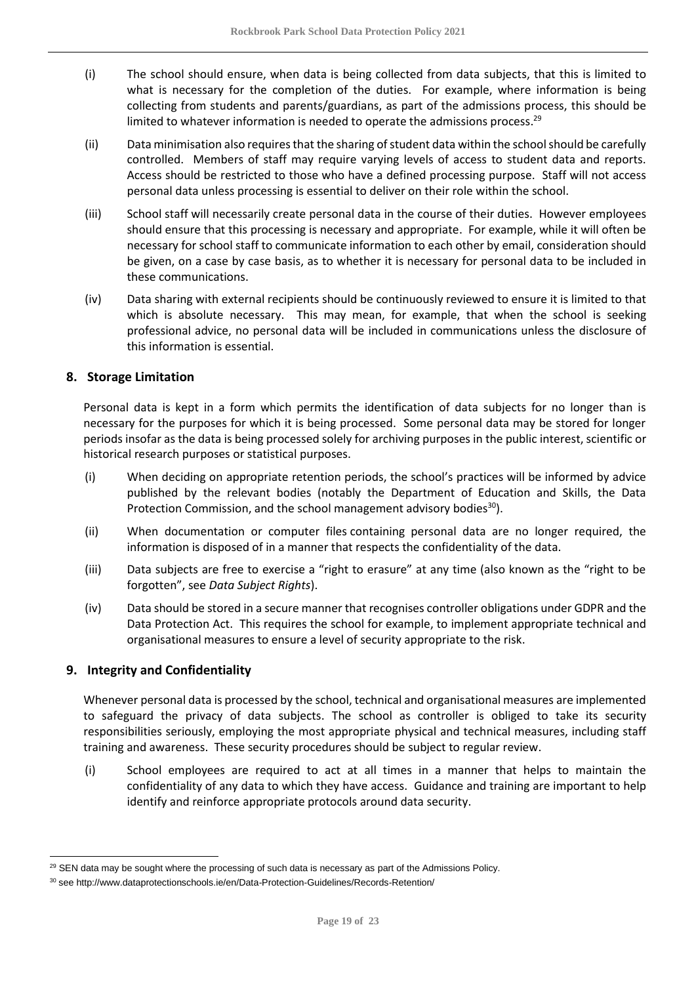- (i) The school should ensure, when data is being collected from data subjects, that this is limited to what is necessary for the completion of the duties. For example, where information is being collecting from students and parents/guardians, as part of the admissions process, this should be limited to whatever information is needed to operate the admissions process.<sup>29</sup>
- (ii) Data minimisation also requires that the sharing of student data within the school should be carefully controlled. Members of staff may require varying levels of access to student data and reports. Access should be restricted to those who have a defined processing purpose. Staff will not access personal data unless processing is essential to deliver on their role within the school.
- (iii) School staff will necessarily create personal data in the course of their duties. However employees should ensure that this processing is necessary and appropriate. For example, while it will often be necessary for school staff to communicate information to each other by email, consideration should be given, on a case by case basis, as to whether it is necessary for personal data to be included in these communications.
- (iv) Data sharing with external recipients should be continuously reviewed to ensure it is limited to that which is absolute necessary. This may mean, for example, that when the school is seeking professional advice, no personal data will be included in communications unless the disclosure of this information is essential.

# **8. Storage Limitation**

Personal data is kept in a form which permits the identification of data subjects for no longer than is necessary for the purposes for which it is being processed. Some personal data may be stored for longer periods insofar as the data is being processed solely for archiving purposes in the public interest, scientific or historical research purposes or statistical purposes.

- (i) When deciding on appropriate retention periods, the school's practices will be informed by advice published by the relevant bodies (notably the Department of Education and Skills, the Data Protection Commission, and the school management advisory bodies<sup>30</sup>).
- (ii) When documentation or computer files containing personal data are no longer required, the information is disposed of in a manner that respects the confidentiality of the data.
- (iii) Data subjects are free to exercise a "right to erasure" at any time (also known as the "right to be forgotten", see *Data Subject Rights*).
- (iv) Data should be stored in a secure manner that recognises controller obligations under GDPR and the Data Protection Act. This requires the school for example, to implement appropriate technical and organisational measures to ensure a level of security appropriate to the risk.

# **9. Integrity and Confidentiality**

Whenever personal data is processed by the school, technical and organisational measures are implemented to safeguard the privacy of data subjects. The school as controller is obliged to take its security responsibilities seriously, employing the most appropriate physical and technical measures, including staff training and awareness. These security procedures should be subject to regular review.

(i) School employees are required to act at all times in a manner that helps to maintain the confidentiality of any data to which they have access. Guidance and training are important to help identify and reinforce appropriate protocols around data security.

<sup>&</sup>lt;sup>29</sup> SEN data may be sought where the processing of such data is necessary as part of the Admissions Policy.

<sup>30</sup> see <http://www.dataprotectionschools.ie/en/Data-Protection-Guidelines/Records-Retention/>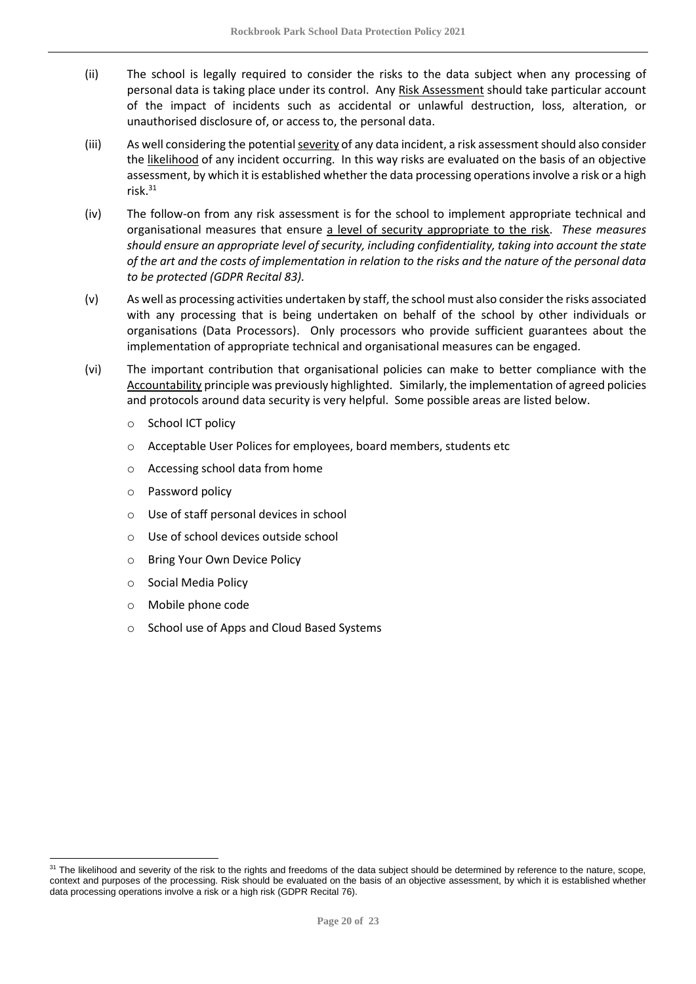- (ii) The school is legally required to consider the risks to the data subject when any processing of personal data is taking place under its control. Any Risk Assessment should take particular account of the impact of incidents such as accidental or unlawful destruction, loss, alteration, or unauthorised disclosure of, or access to, the personal data.
- (iii) As well considering the potential severity of any data incident, a risk assessment should also consider the likelihood of any incident occurring. In this way risks are evaluated on the basis of an objective assessment, by which it is established whether the data processing operations involve a risk or a high risk.<sup>31</sup>
- (iv) The follow-on from any risk assessment is for the school to implement appropriate technical and organisational measures that ensure a level of security appropriate to the risk. *These measures should ensure an appropriate level of security, including confidentiality, taking into account the state of the art and the costs of implementation in relation to the risks and the nature of the personal data to be protected (GDPR Recital 83).*
- (v) As well as processing activities undertaken by staff, the school must also consider the risks associated with any processing that is being undertaken on behalf of the school by other individuals or organisations (Data Processors). Only processors who provide sufficient guarantees about the implementation of appropriate technical and organisational measures can be engaged.
- (vi) The important contribution that organisational policies can make to better compliance with the Accountability principle was previously highlighted. Similarly, the implementation of agreed policies and protocols around data security is very helpful. Some possible areas are listed below.
	- o School ICT policy
	- o Acceptable User Polices for employees, board members, students etc
	- o Accessing school data from home
	- o Password policy
	- o Use of staff personal devices in school
	- o Use of school devices outside school
	- o Bring Your Own Device Policy
	- o Social Media Policy
	- o Mobile phone code
	- o School use of Apps and Cloud Based Systems

<sup>&</sup>lt;sup>31</sup> The likelihood and severity of the risk to the rights and freedoms of the data subject should be determined by reference to the nature, scope, context and purposes of the processing. Risk should be evaluated on the basis of an objective assessment, by which it is established whether data processing operations involve a risk or a high risk (GDPR Recital 76).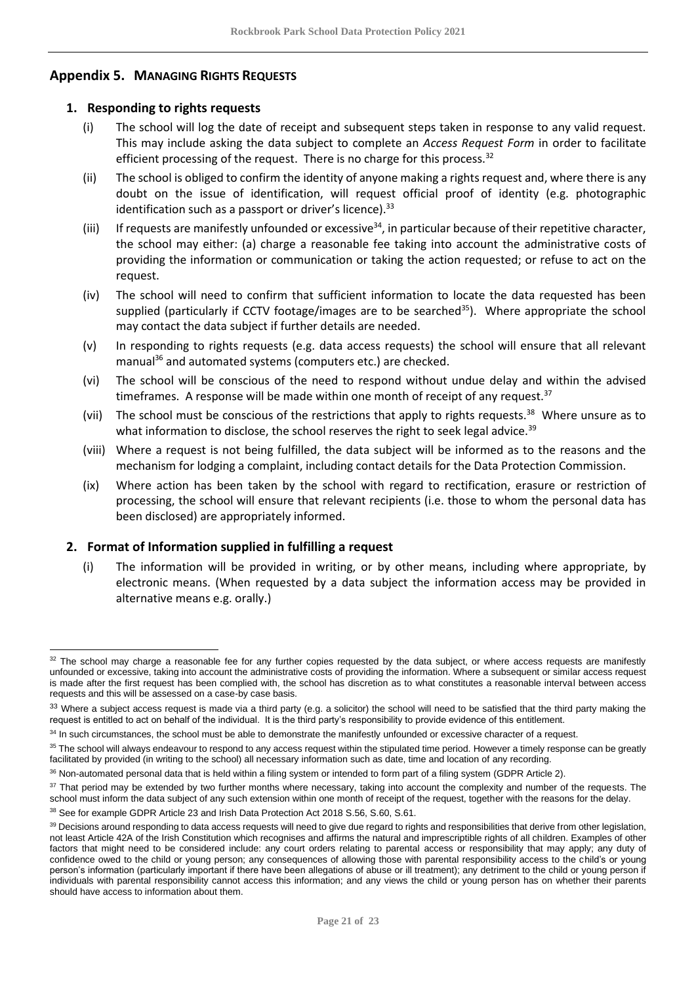# <span id="page-20-0"></span>**Appendix 5. MANAGING RIGHTS REQUESTS**

#### **1. Responding to rights requests**

- (i) The school will log the date of receipt and subsequent steps taken in response to any valid request. This may include asking the data subject to complete an *Access Request Form* in order to facilitate efficient processing of the request. There is no charge for this process. $32$
- (ii) The school is obliged to confirm the identity of anyone making a rights request and, where there is any doubt on the issue of identification, will request official proof of identity (e.g. photographic identification such as a passport or driver's licence).<sup>33</sup>
- (iii) If requests are manifestly unfounded or excessive<sup>34</sup>, in particular because of their repetitive character, the school may either: (a) charge a reasonable fee taking into account the administrative costs of providing the information or communication or taking the action requested; or refuse to act on the request.
- (iv) The school will need to confirm that sufficient information to locate the data requested has been supplied (particularly if CCTV footage/images are to be searched $35$ ). Where appropriate the school may contact the data subject if further details are needed.
- (v) In responding to rights requests (e.g. data access requests) the school will ensure that all relevant manual<sup>36</sup> and automated systems (computers etc.) are checked.
- (vi) The school will be conscious of the need to respond without undue delay and within the advised timeframes. A response will be made within one month of receipt of any request. $37$
- (vii) The school must be conscious of the restrictions that apply to rights requests.<sup>38</sup> Where unsure as to what information to disclose, the school reserves the right to seek legal advice.<sup>39</sup>
- (viii) Where a request is not being fulfilled, the data subject will be informed as to the reasons and the mechanism for lodging a complaint, including contact details for the Data Protection Commission.
- (ix) Where action has been taken by the school with regard to rectification, erasure or restriction of processing, the school will ensure that relevant recipients (i.e. those to whom the personal data has been disclosed) are appropriately informed.

# **2. Format of Information supplied in fulfilling a request**

(i) The information will be provided in writing, or by other means, including where appropriate, by electronic means. (When requested by a data subject the information access may be provided in alternative means e.g. orally.)

<sup>38</sup> See for example GDPR Article 23 and Irish Data Protection Act 2018 S.56, S.60, S.61.

<sup>32</sup> The school may charge a reasonable fee for any further copies requested by the data subject, or where access requests are manifestly unfounded or excessive, taking into account the administrative costs of providing the information. Where a subsequent or similar access request is made after the first request has been complied with, the school has discretion as to what constitutes a reasonable interval between access requests and this will be assessed on a case-by case basis.

<sup>&</sup>lt;sup>33</sup> Where a subject access request is made via a third party (e.g. a solicitor) the school will need to be satisfied that the third party making the request is entitled to act on behalf of the individual. It is the third party's responsibility to provide evidence of this entitlement.

<sup>&</sup>lt;sup>34</sup> In such circumstances, the school must be able to demonstrate the manifestly unfounded or excessive character of a request.

<sup>&</sup>lt;sup>35</sup> The school will always endeavour to respond to any access request within the stipulated time period. However a timely response can be greatly facilitated by provided (in writing to the school) all necessary information such as date, time and location of any recording.

<sup>36</sup> Non-automated personal data that is held within a filing system or intended to form part of a filing system (GDPR Article 2).

<sup>&</sup>lt;sup>37</sup> That period may be extended by two further months where necessary, taking into account the complexity and number of the requests. The school must inform the data subject of any such extension within one month of receipt of the request, together with the reasons for the delay.

<sup>&</sup>lt;sup>39</sup> Decisions around responding to data access requests will need to give due regard to rights and responsibilities that derive from other legislation. not least Article 42A of the Irish Constitution which recognises and affirms the natural and imprescriptible rights of all children. Examples of other factors that might need to be considered include: any court orders relating to parental access or responsibility that may apply; any duty of confidence owed to the child or young person; any consequences of allowing those with parental responsibility access to the child's or young person's information (particularly important if there have been allegations of abuse or ill treatment); any detriment to the child or young person if individuals with parental responsibility cannot access this information; and any views the child or young person has on whether their parents should have access to information about them.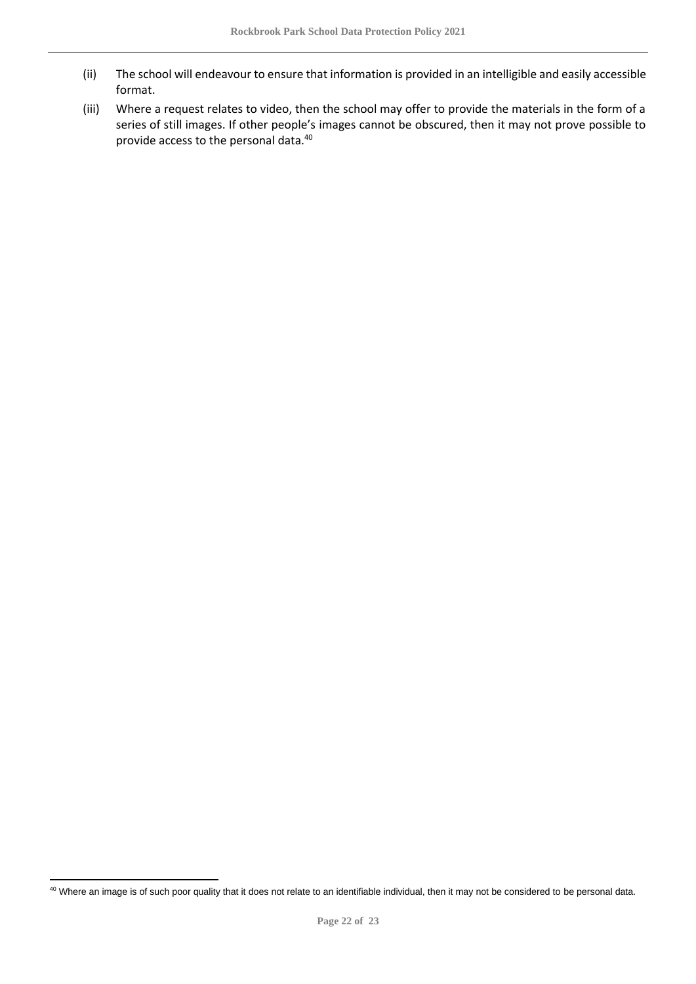- (ii) The school will endeavour to ensure that information is provided in an intelligible and easily accessible format.
- (iii) Where a request relates to video, then the school may offer to provide the materials in the form of a series of still images. If other people's images cannot be obscured, then it may not prove possible to provide access to the personal data.<sup>40</sup>

<sup>&</sup>lt;sup>40</sup> Where an image is of such poor quality that it does not relate to an identifiable individual, then it may not be considered to be personal data.